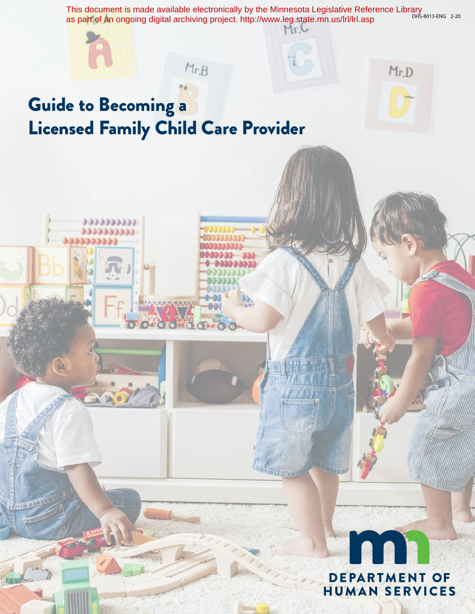

# **DEPARTMENT OF** HUMAN SERVICES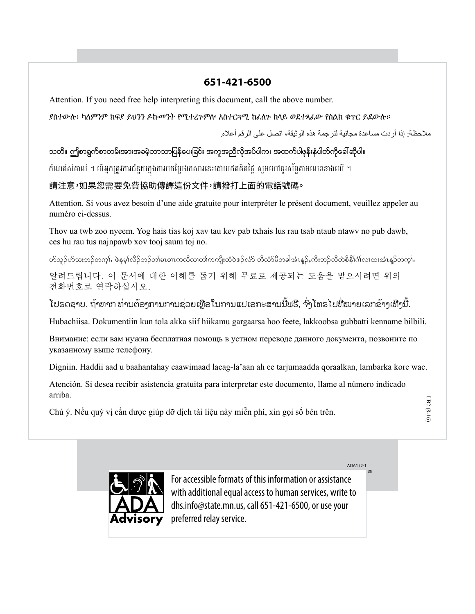## **651-421-6500**

Attention. If you need free help interpreting this document, call the above number.

ያስተውሉ፡ ካለምንም ክፍያ ይህንን ዶኩመንት የሚተረጉምሎ አስተርጓሚ ከፈለጉ ከላይ ወደተጻፈው የስልክ ቁጥር ይደውሉ።

ملاحظة: إذا أردت مساعدة مجانية لترجمة هذه الوثيقة، اتصل على الرقم أعلاه.

သတိ။ ဤစာရွက်စာတမ်းအားအခမဲ့ဘာသာပြန်ပေးခြင်း အကူအညီလိုအပ်ပါက၊ အထက်ပါဖုန်းနံပါတ်ကိုခေါ် ဆိုပါ။

កំណត់សំគាល់ ។ បើអ្នកត្រូវការជំនួយក្នុងការបកប្រែឯកសារនេះដោយឥតគិតថ្លៃ សូមហៅទូរស័ព្ទតាមលេខខាងលើ ។

## 請注意,如果您需要免費協助傳譯這份文件,請撥打上面的電話號碼。

Attention. Si vous avez besoin d'une aide gratuite pour interpréter le présent document, veuillez appeler au numéro ci-dessus.

Thoy ua twb zoo nyeem. Yog hais tias koj xay tau key pab txhais lus rau tsab ntaub ntawy no pub dawb, ces hu rau tus najnpawb xov tooj saum toj no.

ဟ်သူဉ်ဟ်သးဘဉ်တက့ၢ်. ဖဲနမ့ၢ်လိဉ်ဘဉ်တ၊်မၤစၢၤကလီလ၊တၢ်ကကျိးထံဝဲဒဉ်လံာ် တီလံာ်မိတခါအံၤန္နဉ်ႇကိးဘဉ်လီတဲစိနိၢ်ဂံ၊လ၊ထးအံၤန္ဉာ်တက္၊်. 알려드립니다. 이 문서에 대한 이해를 돕기 위해 무료로 제공되는 도움을 받으시려면 위의 전화번호로 연락하십시오.

ໂປຣດຊາບ. ຖ້າຫາກ ທ່ານຕ້ອງການການຊ່ວຍເຫືອໃນການແປເອກະສານນີ້ຟຣີ. ຈົ່ງໂທຣໄປທີ່ໝາຍເລກຂ້າງເທີງນີ້.

Hubachiisa. Dokumentiin kun tola akka siif hiikamu gargaarsa hoo feete, lakkoobsa gubbatti kenname bilbili.

Внимание: если вам нужна бесплатная помощь в устном переводе данного документа, позвоните по указанному выше телефону.

Digniin. Haddii aad u baahantahay caawimaad lacag-la'aan ah ee tarjumaadda qoraalkan, lambarka kore wac.

Atención. Si desea recibir asistencia gratuita para interpretar este documento, llame al número indicado arriba.

Chú ý. Nếu quý vị cần được giúp đỡ dịch tài liệu này miễn phí, xin gọi số bên trên.

ADA1 (2-1 8)



For accessible formats of this information or assistance with additional equal access to human services, write to dhs.info@state.mn.us, call 651-421-6500, or use your **dvisory** preferred relay service.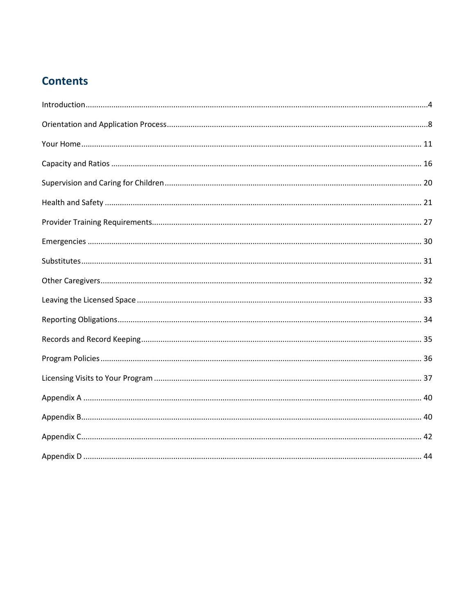# **Contents**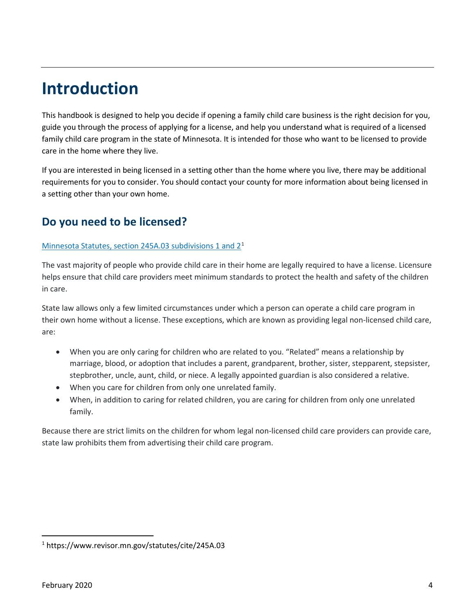# <span id="page-3-0"></span>**Introduction**

This handbook is designed to help you decide if opening a family child care business is the right decision for you, guide you through the process of applying for a license, and help you understand what is required of a licensed family child care program in the state of Minnesota. It is intended for those who want to be licensed to provide care in the home where they live.

If you are interested in being licensed in a setting other than the home where you live, there may be additional requirements for you to consider. You should contact your county for more information about being licensed in a setting other than your own home.

## **Do you need to be licensed?**

#### [Minnesota Statutes, section 245A.03 subdivisions 1 and 2](https://www.revisor.mn.gov/statutes/cite/245A.03)[1](#page-3-1)

The vast majority of people who provide child care in their home are legally required to have a license. Licensure helps ensure that child care providers meet minimum standards to protect the health and safety of the children in care.

State law allows only a few limited circumstances under which a person can operate a child care program in their own home without a license. These exceptions, which are known as providing legal non-licensed child care, are:

- When you are only caring for children who are related to you. "Related" means a relationship by marriage, blood, or adoption that includes a parent, grandparent, brother, sister, stepparent, stepsister, stepbrother, uncle, aunt, child, or niece. A legally appointed guardian is also considered a relative.
- When you care for children from only one unrelated family.
- When, in addition to caring for related children, you are caring for children from only one unrelated family.

Because there are strict limits on the children for whom legal non-licensed child care providers can provide care, state law prohibits them from advertising their child care program.

 $\overline{\phantom{a}}$ 

<span id="page-3-1"></span><sup>1</sup> https://www.revisor.mn.gov/statutes/cite/245A.03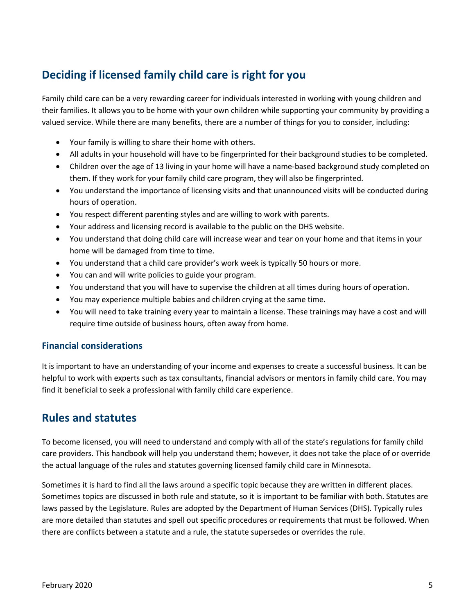# **Deciding if licensed family child care is right for you**

Family child care can be a very rewarding career for individuals interested in working with young children and their families. It allows you to be home with your own children while supporting your community by providing a valued service. While there are many benefits, there are a number of things for you to consider, including:

- Your family is willing to share their home with others.
- All adults in your household will have to be fingerprinted for their background studies to be completed.
- Children over the age of 13 living in your home will have a name-based background study completed on them. If they work for your family child care program, they will also be fingerprinted.
- You understand the importance of licensing visits and that unannounced visits will be conducted during hours of operation.
- You respect different parenting styles and are willing to work with parents.
- Your address and licensing record is available to the public on the DHS website.
- You understand that doing child care will increase wear and tear on your home and that items in your home will be damaged from time to time.
- You understand that a child care provider's work week is typically 50 hours or more.
- You can and will write policies to guide your program.
- You understand that you will have to supervise the children at all times during hours of operation.
- You may experience multiple babies and children crying at the same time.
- You will need to take training every year to maintain a license. These trainings may have a cost and will require time outside of business hours, often away from home.

## **Financial considerations**

It is important to have an understanding of your income and expenses to create a successful business. It can be helpful to work with experts such as tax consultants, financial advisors or mentors in family child care. You may find it beneficial to seek a professional with family child care experience.

## **Rules and statutes**

To become licensed, you will need to understand and comply with all of the state's regulations for family child care providers. This handbook will help you understand them; however, it does not take the place of or override the actual language of the rules and statutes governing licensed family child care in Minnesota.

Sometimes it is hard to find all the laws around a specific topic because they are written in different places. Sometimes topics are discussed in both rule and statute, so it is important to be familiar with both. Statutes are laws passed by the Legislature. Rules are adopted by the Department of Human Services (DHS). Typically rules are more detailed than statutes and spell out specific procedures or requirements that must be followed. When there are conflicts between a statute and a rule, the statute supersedes or overrides the rule.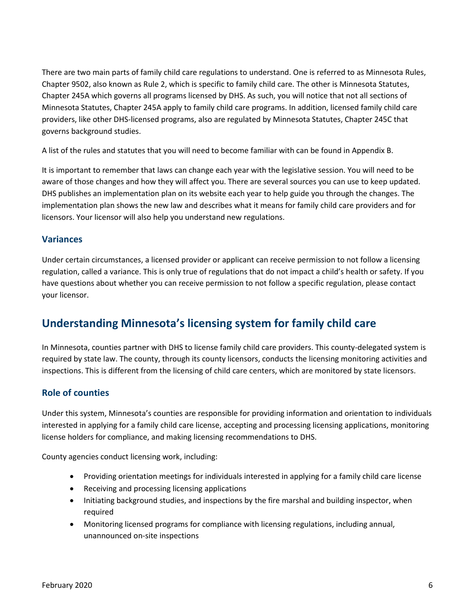There are two main parts of family child care regulations to understand. One is referred to as Minnesota Rules, Chapter 9502, also known as Rule 2, which is specific to family child care. The other is Minnesota Statutes, Chapter 245A which governs all programs licensed by DHS. As such, you will notice that not all sections of Minnesota Statutes, Chapter 245A apply to family child care programs. In addition, licensed family child care providers, like other DHS-licensed programs, also are regulated by Minnesota Statutes, Chapter 245C that governs background studies.

A list of the rules and statutes that you will need to become familiar with can be found in Appendix B.

It is important to remember that laws can change each year with the legislative session. You will need to be aware of those changes and how they will affect you. There are several sources you can use to keep updated. DHS publishes an implementation plan on its website each year to help guide you through the changes. The implementation plan shows the new law and describes what it means for family child care providers and for licensors. Your licensor will also help you understand new regulations.

## **Variances**

Under certain circumstances, a licensed provider or applicant can receive permission to not follow a licensing regulation, called a variance. This is only true of regulations that do not impact a child's health or safety. If you have questions about whether you can receive permission to not follow a specific regulation, please contact your licensor.

# **Understanding Minnesota's licensing system for family child care**

In Minnesota, counties partner with DHS to license family child care providers. This county-delegated system is required by state law. The county, through its county licensors, conducts the licensing monitoring activities and inspections. This is different from the licensing of child care centers, which are monitored by state licensors.

## **Role of counties**

Under this system, Minnesota's counties are responsible for providing information and orientation to individuals interested in applying for a family child care license, accepting and processing licensing applications, monitoring license holders for compliance, and making licensing recommendations to DHS.

County agencies conduct licensing work, including:

- Providing orientation meetings for individuals interested in applying for a family child care license
- Receiving and processing licensing applications
- Initiating background studies, and inspections by the fire marshal and building inspector, when required
- Monitoring licensed programs for compliance with licensing regulations, including annual, unannounced on-site inspections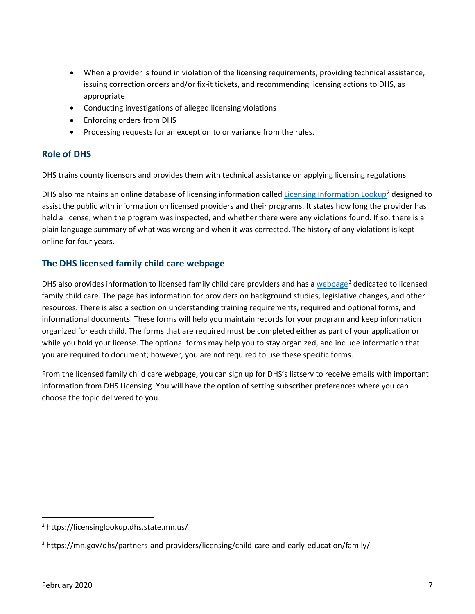- When a provider is found in violation of the licensing requirements, providing technical assistance, issuing correction orders and/or fix-it tickets, and recommending licensing actions to DHS, as appropriate
- Conducting investigations of alleged licensing violations
- Enforcing orders from DHS
- Processing requests for an exception to or variance from the rules.

## **Role of DHS**

DHS trains county licensors and provides them with technical assistance on applying licensing regulations.

DHS also maintains an online database of licensing information called [Licensing Information](https://licensinglookup.dhs.state.mn.us/) Lookup<sup>[2](#page-6-0)</sup> designed to assist the public with information on licensed providers and their programs. It states how long the provider has held a license, when the program was inspected, and whether there were any violations found. If so, there is a plain language summary of what was wrong and when it was corrected. The history of any violations is kept online for four years.

## **The DHS licensed family child care webpage**

DHS also provides information to licensed family child care providers and has a [webpage](https://mn.gov/dhs/partners-and-providers/licensing/child-care-and-early-education/family/)<sup>[3](#page-6-1)</sup> dedicated to licensed family child care. The page has information for providers on background studies, legislative changes, and other resources. There is also a section on understanding training requirements, required and optional forms, and informational documents. These forms will help you maintain records for your program and keep information organized for each child. The forms that are required must be completed either as part of your application or while you hold your license. The optional forms may help you to stay organized, and include information that you are required to document; however, you are not required to use these specific forms.

From the licensed family child care webpage, you can sign up for DHS's listserv to receive emails with important information from DHS Licensing. You will have the option of setting subscriber preferences where you can choose the topic delivered to you.

<span id="page-6-0"></span><sup>2</sup> https://licensinglookup.dhs.state.mn.us/

<span id="page-6-1"></span><sup>&</sup>lt;sup>3</sup> https://mn.gov/dhs/partners-and-providers/licensing/child-care-and-early-education/family/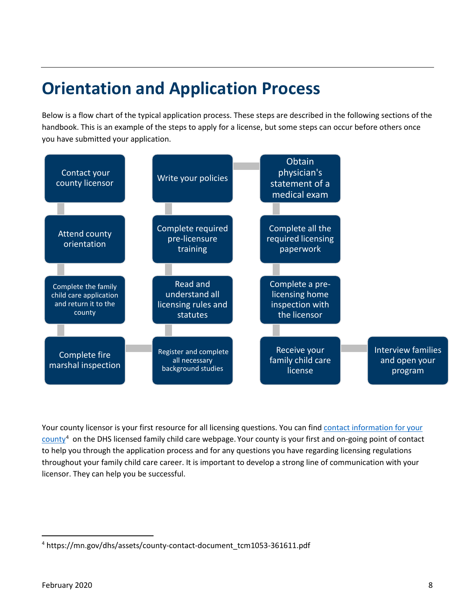# <span id="page-7-0"></span>**Orientation and Application Process**

Below is a flow chart of the typical application process. These steps are described in the following sections of the handbook. This is an example of the steps to apply for a license, but some steps can occur before others once you have submitted your application.



Your county licensor is your first resource for all licensing questions. You can fin[d contact information for your](https://mn.gov/dhs/assets/county-contact-document_tcm1053-361611.pdf)  [county](https://mn.gov/dhs/assets/county-contact-document_tcm1053-361611.pdf)<sup>[4](#page-7-1)</sup> on the DHS licensed family child care webpage. Your county is your first and on-going point of contact to help you through the application process and for any questions you have regarding licensing regulations throughout your family child care career. It is important to develop a strong line of communication with your licensor. They can help you be successful.

 $\overline{\phantom{a}}$ 

<span id="page-7-1"></span><sup>4</sup> https://mn.gov/dhs/assets/county-contact-document\_tcm1053-361611.pdf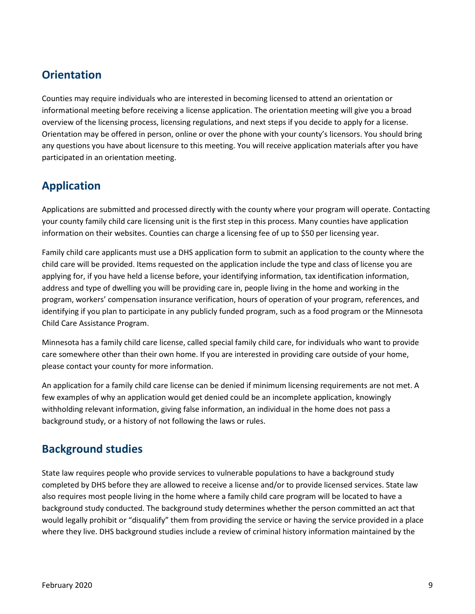## **Orientation**

Counties may require individuals who are interested in becoming licensed to attend an orientation or informational meeting before receiving a license application. The orientation meeting will give you a broad overview of the licensing process, licensing regulations, and next steps if you decide to apply for a license. Orientation may be offered in person, online or over the phone with your county's licensors. You should bring any questions you have about licensure to this meeting. You will receive application materials after you have participated in an orientation meeting.

## **Application**

Applications are submitted and processed directly with the county where your program will operate. Contacting your county family child care licensing unit is the first step in this process. Many counties have application information on their websites. Counties can charge a licensing fee of up to \$50 per licensing year.

Family child care applicants must use a DHS application form to submit an application to the county where the child care will be provided. Items requested on the application include the type and class of license you are applying for, if you have held a license before, your identifying information, tax identification information, address and type of dwelling you will be providing care in, people living in the home and working in the program, workers' compensation insurance verification, hours of operation of your program, references, and identifying if you plan to participate in any publicly funded program, such as a food program or the Minnesota Child Care Assistance Program.

Minnesota has a family child care license, called special family child care, for individuals who want to provide care somewhere other than their own home. If you are interested in providing care outside of your home, please contact your county for more information.

An application for a family child care license can be denied if minimum licensing requirements are not met. A few examples of why an application would get denied could be an incomplete application, knowingly withholding relevant information, giving false information, an individual in the home does not pass a background study, or a history of not following the laws or rules.

## **Background studies**

State law requires people who provide services to vulnerable populations to have a background study completed by DHS before they are allowed to receive a license and/or to provide licensed services. State law also requires most people living in the home where a family child care program will be located to have a background study conducted. The background study determines whether the person committed an act that would legally prohibit or "disqualify" them from providing the service or having the service provided in a place where they live. DHS background studies include a review of criminal history information maintained by the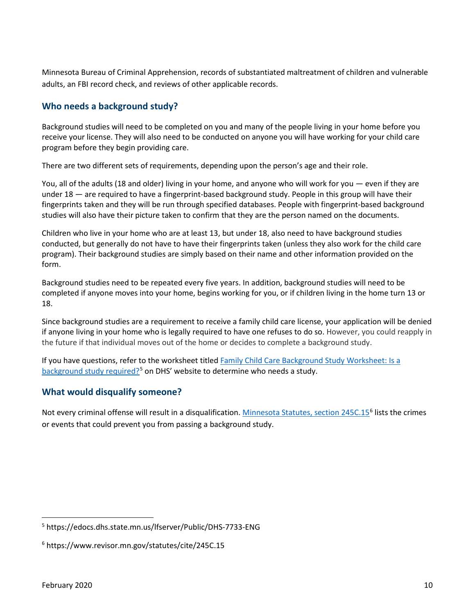Minnesota Bureau of Criminal Apprehension, records of substantiated maltreatment of children and vulnerable adults, an FBI record check, and reviews of other applicable records.

## **Who needs a background study?**

Background studies will need to be completed on you and many of the people living in your home before you receive your license. They will also need to be conducted on anyone you will have working for your child care program before they begin providing care.

There are two different sets of requirements, depending upon the person's age and their role.

You, all of the adults (18 and older) living in your home, and anyone who will work for you — even if they are under 18 — are required to have a fingerprint-based background study. People in this group will have their fingerprints taken and they will be run through specified databases. People with fingerprint-based background studies will also have their picture taken to confirm that they are the person named on the documents.

Children who live in your home who are at least 13, but under 18, also need to have background studies conducted, but generally do not have to have their fingerprints taken (unless they also work for the child care program). Their background studies are simply based on their name and other information provided on the form.

Background studies need to be repeated every five years. In addition, background studies will need to be completed if anyone moves into your home, begins working for you, or if children living in the home turn 13 or 18.

Since background studies are a requirement to receive a family child care license, your application will be denied if anyone living in your home who is legally required to have one refuses to do so. However, you could reapply in the future if that individual moves out of the home or decides to complete a background study.

If you have questions, refer to the worksheet titled Family Child Care Background Study Worksheet: Is a [background study required?](https://edocs.dhs.state.mn.us/lfserver/Public/DHS-7733-ENG)<sup>[5](#page-9-0)</sup> on DHS' website to determine who needs a study.

## **What would disqualify someone?**

Not every criminal offense will result in a disqualification[. Minnesota Statutes, section 245C.15](https://www.revisor.mn.gov/statutes/cite/245C.15)<sup>[6](#page-9-1)</sup> lists the crimes or events that could prevent you from passing a background study.

<span id="page-9-0"></span><sup>5</sup> https://edocs.dhs.state.mn.us/lfserver/Public/DHS-7733-ENG

<span id="page-9-1"></span><sup>6</sup> https://www.revisor.mn.gov/statutes/cite/245C.15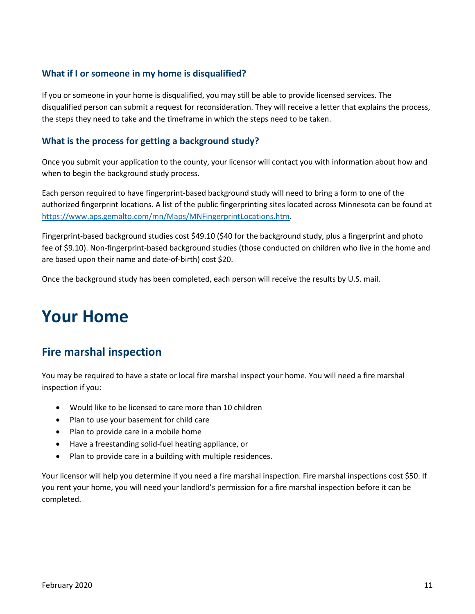## **What if I or someone in my home is disqualified?**

If you or someone in your home is disqualified, you may still be able to provide licensed services. The disqualified person can submit a request for reconsideration. They will receive a letter that explains the process, the steps they need to take and the timeframe in which the steps need to be taken.

## **What is the process for getting a background study?**

Once you submit your application to the county, your licensor will contact you with information about how and when to begin the background study process.

Each person required to have fingerprint-based background study will need to bring a form to one of the authorized fingerprint locations. A list of the public fingerprinting sites located across Minnesota can be found at [https://www.aps.gemalto.com/mn/Maps/MNFingerprintLocations.htm.](https://www.aps.gemalto.com/mn/Maps/MNFingerprintLocations.htm)

Fingerprint-based background studies cost \$49.10 (\$40 for the background study, plus a fingerprint and photo fee of \$9.10). Non-fingerprint-based background studies (those conducted on children who live in the home and are based upon their name and date-of-birth) cost \$20.

Once the background study has been completed, each person will receive the results by U.S. mail.

# <span id="page-10-0"></span>**Your Home**

## **Fire marshal inspection**

You may be required to have a state or local fire marshal inspect your home. You will need a fire marshal inspection if you:

- Would like to be licensed to care more than 10 children
- Plan to use your basement for child care
- Plan to provide care in a mobile home
- Have a freestanding solid-fuel heating appliance, or
- Plan to provide care in a building with multiple residences.

Your licensor will help you determine if you need a fire marshal inspection. Fire marshal inspections cost \$50. If you rent your home, you will need your landlord's permission for a fire marshal inspection before it can be completed.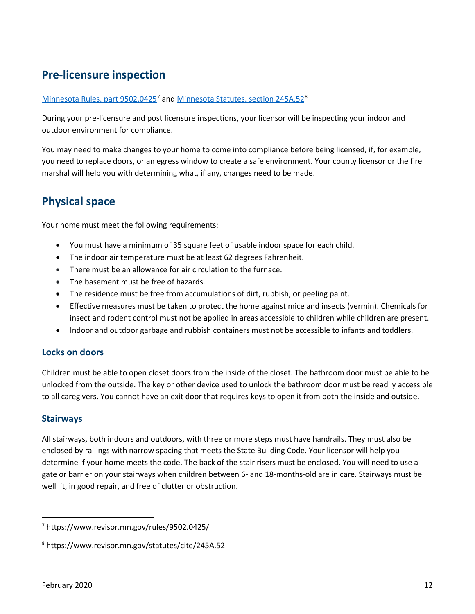# **Pre-licensure inspection**

#### Minnesota Rules, part [9502.0425](https://www.revisor.mn.gov/rules/9502.0425/)<sup>[7](#page-11-0)</sup> and [Minnesota Statutes, section](https://www.revisor.mn.gov/statutes/cite/245A.52) 245A.52<sup>[8](#page-11-1)</sup>

During your pre-licensure and post licensure inspections, your licensor will be inspecting your indoor and outdoor environment for compliance.

You may need to make changes to your home to come into compliance before being licensed, if, for example, you need to replace doors, or an egress window to create a safe environment. Your county licensor or the fire marshal will help you with determining what, if any, changes need to be made.

## **Physical space**

Your home must meet the following requirements:

- You must have a minimum of 35 square feet of usable indoor space for each child.
- The indoor air temperature must be at least 62 degrees Fahrenheit.
- There must be an allowance for air circulation to the furnace.
- The basement must be free of hazards.
- The residence must be free from accumulations of dirt, rubbish, or peeling paint.
- Effective measures must be taken to protect the home against mice and insects (vermin). Chemicals for insect and rodent control must not be applied in areas accessible to children while children are present.
- Indoor and outdoor garbage and rubbish containers must not be accessible to infants and toddlers.

## **Locks on doors**

Children must be able to open closet doors from the inside of the closet. The bathroom door must be able to be unlocked from the outside. The key or other device used to unlock the bathroom door must be readily accessible to all caregivers. You cannot have an exit door that requires keys to open it from both the inside and outside.

## **Stairways**

All stairways, both indoors and outdoors, with three or more steps must have handrails. They must also be enclosed by railings with narrow spacing that meets the State Building Code. Your licensor will help you determine if your home meets the code. The back of the stair risers must be enclosed. You will need to use a gate or barrier on your stairways when children between 6- and 18-months-old are in care. Stairways must be well lit, in good repair, and free of clutter or obstruction.

<span id="page-11-0"></span><sup>7</sup> https://www.revisor.mn.gov/rules/9502.0425/

<span id="page-11-1"></span><sup>8</sup> https://www.revisor.mn.gov/statutes/cite/245A.52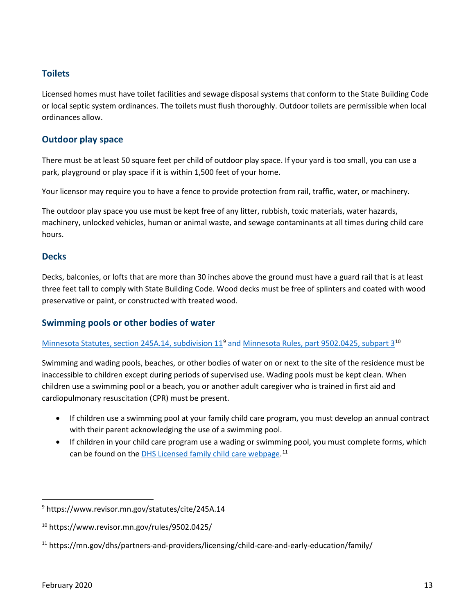## **Toilets**

Licensed homes must have toilet facilities and sewage disposal systems that conform to the State Building Code or local septic system ordinances. The toilets must flush thoroughly. Outdoor toilets are permissible when local ordinances allow.

## **Outdoor play space**

There must be at least 50 square feet per child of outdoor play space. If your yard is too small, you can use a park, playground or play space if it is within 1,500 feet of your home.

Your licensor may require you to have a fence to provide protection from rail, traffic, water, or machinery.

The outdoor play space you use must be kept free of any litter, rubbish, toxic materials, water hazards, machinery, unlocked vehicles, human or animal waste, and sewage contaminants at all times during child care hours.

### **Decks**

Decks, balconies, or lofts that are more than 30 inches above the ground must have a guard rail that is at least three feet tall to comply with State Building Code. Wood decks must be free of splinters and coated with wood preservative or paint, or constructed with treated wood.

## **Swimming pools or other bodies of water**

#### [Minnesota Statutes, section 245A.14, subdivision 11](https://www.revisor.mn.gov/statutes/cite/245A.14)<sup>[9](#page-12-0)</sup> and [Minnesota Rules, part 9502.0425, subpart 3](https://www.revisor.mn.gov/rules/9502.0425/)<sup>[10](#page-12-1)</sup>

Swimming and wading pools, beaches, or other bodies of water on or next to the site of the residence must be inaccessible to children except during periods of supervised use. Wading pools must be kept clean. When children use a swimming pool or a beach, you or another adult caregiver who is trained in first aid and cardiopulmonary resuscitation (CPR) must be present.

- If children use a swimming pool at your family child care program, you must develop an annual contract with their parent acknowledging the use of a swimming pool.
- If children in your child care program use a wading or swimming pool, you must complete forms, which can be found on the **DHS Licensed family child care webpage**.<sup>[11](#page-12-2)</sup>

<span id="page-12-0"></span><sup>9</sup> https://www.revisor.mn.gov/statutes/cite/245A.14

<span id="page-12-1"></span><sup>10</sup> https://www.revisor.mn.gov/rules/9502.0425/

<span id="page-12-2"></span><sup>11</sup> https://mn.gov/dhs/partners-and-providers/licensing/child-care-and-early-education/family/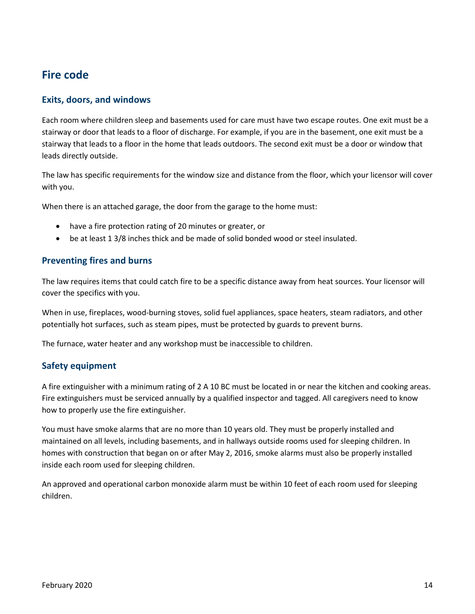## **Fire code**

### **Exits, doors, and windows**

Each room where children sleep and basements used for care must have two escape routes. One exit must be a stairway or door that leads to a floor of discharge. For example, if you are in the basement, one exit must be a stairway that leads to a floor in the home that leads outdoors. The second exit must be a door or window that leads directly outside.

The law has specific requirements for the window size and distance from the floor, which your licensor will cover with you.

When there is an attached garage, the door from the garage to the home must:

- have a fire protection rating of 20 minutes or greater, or
- be at least 1 3/8 inches thick and be made of solid bonded wood or steel insulated.

## **Preventing fires and burns**

The law requires items that could catch fire to be a specific distance away from heat sources. Your licensor will cover the specifics with you.

When in use, fireplaces, wood-burning stoves, solid fuel appliances, space heaters, steam radiators, and other potentially hot surfaces, such as steam pipes, must be protected by guards to prevent burns.

The furnace, water heater and any workshop must be inaccessible to children.

## **Safety equipment**

A fire extinguisher with a minimum rating of 2 A 10 BC must be located in or near the kitchen and cooking areas. Fire extinguishers must be serviced annually by a qualified inspector and tagged. All caregivers need to know how to properly use the fire extinguisher.

You must have smoke alarms that are no more than 10 years old. They must be properly installed and maintained on all levels, including basements, and in hallways outside rooms used for sleeping children. In homes with construction that began on or after May 2, 2016, smoke alarms must also be properly installed inside each room used for sleeping children.

An approved and operational carbon monoxide alarm must be within 10 feet of each room used for sleeping children.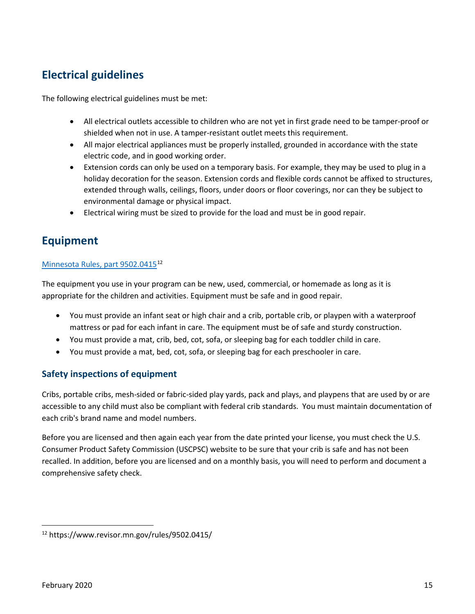# **Electrical guidelines**

The following electrical guidelines must be met:

- All electrical outlets accessible to children who are not yet in first grade need to be tamper-proof or shielded when not in use. A tamper-resistant outlet meets this requirement.
- All major electrical appliances must be properly installed, grounded in accordance with the state electric code, and in good working order.
- Extension cords can only be used on a temporary basis. For example, they may be used to plug in a holiday decoration for the season. Extension cords and flexible cords cannot be affixed to structures, extended through walls, ceilings, floors, under doors or floor coverings, nor can they be subject to environmental damage or physical impact.
- Electrical wiring must be sized to provide for the load and must be in good repair.

# **Equipment**

#### [Minnesota Rules, part 9502.0415](https://www.revisor.mn.gov/rules/9502.0415/)<sup>[12](#page-14-0)</sup>

The equipment you use in your program can be new, used, commercial, or homemade as long as it is appropriate for the children and activities. Equipment must be safe and in good repair.

- You must provide an infant seat or high chair and a crib, portable crib, or playpen with a waterproof mattress or pad for each infant in care. The equipment must be of safe and sturdy construction.
- You must provide a mat, crib, bed, cot, sofa, or sleeping bag for each toddler child in care.
- You must provide a mat, bed, cot, sofa, or sleeping bag for each preschooler in care.

## **Safety inspections of equipment**

Cribs, portable cribs, mesh-sided or fabric-sided play yards, pack and plays, and playpens that are used by or are accessible to any child must also be compliant with federal crib standards. You must maintain documentation of each crib's brand name and model numbers.

Before you are licensed and then again each year from the date printed your license, you must check the U.S. Consumer Product Safety Commission (USCPSC) website to be sure that your crib is safe and has not been recalled. In addition, before you are licensed and on a monthly basis, you will need to perform and document a comprehensive safety check.

 $\overline{\phantom{a}}$ 

<span id="page-14-0"></span><sup>12</sup> https://www.revisor.mn.gov/rules/9502.0415/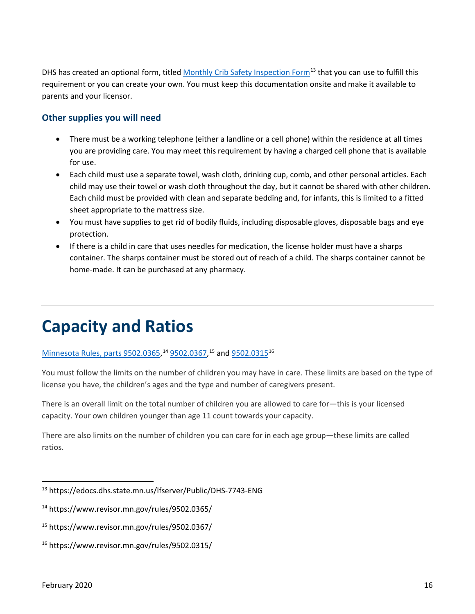DHS has created an optional form, titled [Monthly Crib Safety Inspection Form](https://edocs.dhs.state.mn.us/lfserver/Public/DHS-7743-ENG)<sup>[13](#page-15-1)</sup> that you can use to fulfill this requirement or you can create your own. You must keep this documentation onsite and make it available to parents and your licensor.

## **Other supplies you will need**

- There must be a working telephone (either a landline or a cell phone) within the residence at all times you are providing care. You may meet this requirement by having a charged cell phone that is available for use.
- Each child must use a separate towel, wash cloth, drinking cup, comb, and other personal articles. Each child may use their towel or wash cloth throughout the day, but it cannot be shared with other children. Each child must be provided with clean and separate bedding and, for infants, this is limited to a fitted sheet appropriate to the mattress size.
- You must have supplies to get rid of bodily fluids, including disposable gloves, disposable bags and eye protection.
- If there is a child in care that uses needles for medication, the license holder must have a sharps container. The sharps container must be stored out of reach of a child. The sharps container cannot be home-made. It can be purchased at any pharmacy.

# <span id="page-15-0"></span>**Capacity and Ratios**

## [Minnesota Rules, parts 9502.0365,](https://www.revisor.mn.gov/rules/9502.0365/)<sup>[14](#page-15-2)</sup> [9502.0367,](https://www.revisor.mn.gov/rules/9502.0367/)<sup>[15](#page-15-3)</sup> and [9502.0315](https://www.revisor.mn.gov/rules/9502.0315/)<sup>16</sup>

You must follow the limits on the number of children you may have in care. These limits are based on the type of license you have, the children's ages and the type and number of caregivers present.

There is an overall limit on the total number of children you are allowed to care for—this is your licensed capacity. Your own children younger than age 11 count towards your capacity.

There are also limits on the number of children you can care for in each age group—these limits are called ratios.

 $\overline{a}$ 

<span id="page-15-1"></span><sup>13</sup> https://edocs.dhs.state.mn.us/lfserver/Public/DHS-7743-ENG

<span id="page-15-2"></span><sup>14</sup> https://www.revisor.mn.gov/rules/9502.0365/

<span id="page-15-3"></span><sup>15</sup> https://www.revisor.mn.gov/rules/9502.0367/

<span id="page-15-4"></span><sup>16</sup> https://www.revisor.mn.gov/rules/9502.0315/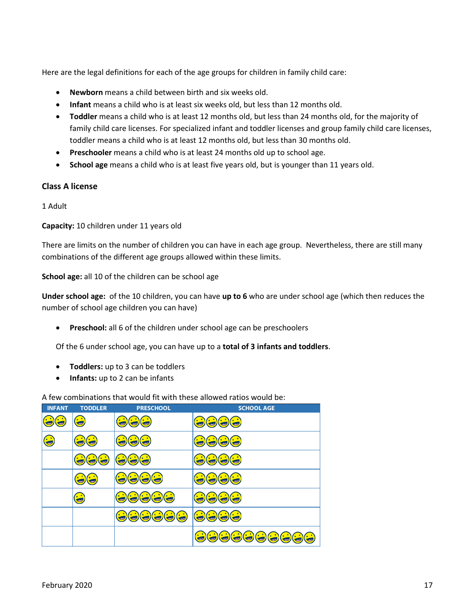Here are the legal definitions for each of the age groups for children in family child care:

- **Newborn** means a child between birth and six weeks old.
- **Infant** means a child who is at least six weeks old, but less than 12 months old.
- **Toddler** means a child who is at least 12 months old, but less than 24 months old, for the majority of family child care licenses. For specialized infant and toddler licenses and group family child care licenses, toddler means a child who is at least 12 months old, but less than 30 months old.
- **Preschooler** means a child who is at least 24 months old up to school age.
- **School age** means a child who is at least five years old, but is younger than 11 years old.

#### **Class A license**

1 Adult

**Capacity:** 10 children under 11 years old

There are limits on the number of children you can have in each age group. Nevertheless, there are still many combinations of the different age groups allowed within these limits.

**School age:** all 10 of the children can be school age

**Under school age:** of the 10 children, you can have **up to 6** who are under school age (which then reduces the number of school age children you can have)

• **Preschool:** all 6 of the children under school age can be preschoolers

Of the 6 under school age, you can have up to a **total of 3 infants and toddlers**.

- **Toddlers:** up to 3 can be toddlers
- **Infants:** up to 2 can be infants

#### A few combinations that would fit with these allowed ratios would be:

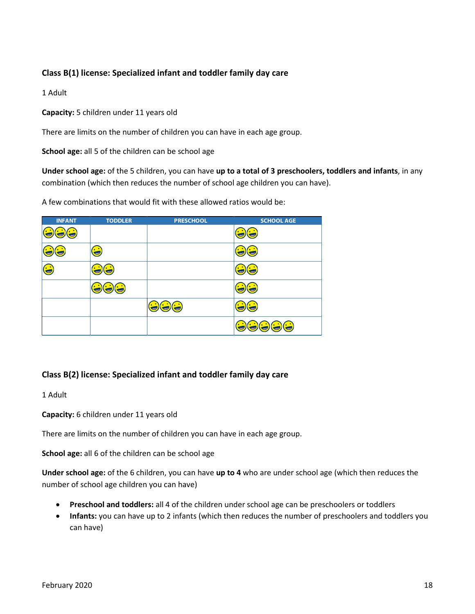## Class B(1) license: Specialized infant and toddler family day care

1 Adult

**Capacity:** 5 children under 11 years old

There are limits on the number of children you can have in each age group.

**School age:** all 5 of the children can be school age

**Under school age:** of the 5 children, you can have **up to a total of 3 preschoolers, toddlers and infants**, in any combination (which then reduces the number of school age children you can have).

A few combinations that would fit with these allowed ratios would be:

| <b>INFANT</b> | <b>TODDLER</b> | <b>PRESCHOOL</b> | <b>SCHOOL AGE</b>                                         |
|---------------|----------------|------------------|-----------------------------------------------------------|
|               |                |                  | $\mathbf{G}$                                              |
|               | G              |                  |                                                           |
|               |                |                  |                                                           |
|               | $\cdot$ :      |                  |                                                           |
|               |                | $\bigodot$       | G                                                         |
|               |                |                  | $\ddot{\odot}$ $\odot$<br>$\cdot$ $\cdot$<br>$\mathbf{G}$ |

#### **Class B(2) license: Specialized infant and toddler family day care**

1 Adult

**Capacity:** 6 children under 11 years old

There are limits on the number of children you can have in each age group.

**School age:** all 6 of the children can be school age

**Under school age:** of the 6 children, you can have **up to 4** who are under school age (which then reduces the number of school age children you can have)

- **Preschool and toddlers:** all 4 of the children under school age can be preschoolers or toddlers
- **Infants:** you can have up to 2 infants (which then reduces the number of preschoolers and toddlers you can have)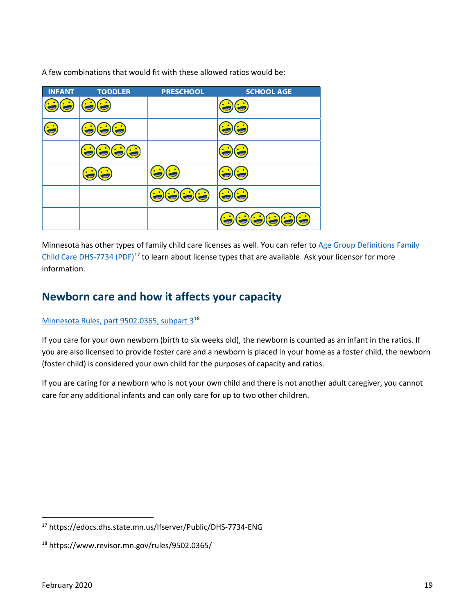| <b>INFANT</b>                                      | <b>TODDLER</b>                    | <b>PRESCHOOL</b>                      | <b>SCHOOL AGE</b>                                         |
|----------------------------------------------------|-----------------------------------|---------------------------------------|-----------------------------------------------------------|
| $\left( \begin{matrix} \cdot \end{matrix} \right)$ | $\ddot{\bullet}$                  |                                       |                                                           |
| S                                                  | $\ddot{\bullet}$ $\ddot{\bullet}$ |                                       | $\ddot{\bullet}$                                          |
|                                                    | $\Theta$ $\Theta$<br>3            |                                       | S                                                         |
|                                                    |                                   | $\ddot{\mathbf{c}}$                   | 3                                                         |
|                                                    |                                   | $\bigodot \bigodot \bigodot \bigodot$ | $\ddot{\boldsymbol{\Theta}}$ $\ddot{\boldsymbol{\Theta}}$ |
|                                                    |                                   |                                       | $\bigodot \bigodot \bigodot \bigodot \bigodot \bigodot$   |

A few combinations that would fit with these allowed ratios would be:

Minnesota has other types of family child care licenses as well. You can refer t[o Age Group Definitions Family](https://edocs.dhs.state.mn.us/lfserver/Public/DHS-7734-ENG)  [Child Care DHS-7734 \(PDF\)](https://edocs.dhs.state.mn.us/lfserver/Public/DHS-7734-ENG)<sup>[17](#page-18-1)</sup> to learn about license types that are available. Ask your licensor for more information.

## **Newborn care and how it affects your capacity**

#### [Minnesota Rules, part 9502.0365, subpart 3](https://www.revisor.mn.gov/rules/9502.0365/)[18](#page-18-2)

If you care for your own newborn (birth to six weeks old), the newborn is counted as an infant in the ratios. If you are also licensed to provide foster care and a newborn is placed in your home as a foster child, the newborn (foster child) is considered your own child for the purposes of capacity and ratios.

<span id="page-18-0"></span>If you are caring for a newborn who is not your own child and there is not another adult caregiver, you cannot care for any additional infants and can only care for up to two other children.

<span id="page-18-1"></span><sup>&</sup>lt;sup>17</sup> https://edocs.dhs.state.mn.us/lfserver/Public/DHS-7734-ENG

<span id="page-18-2"></span><sup>18</sup> https://www.revisor.mn.gov/rules/9502.0365/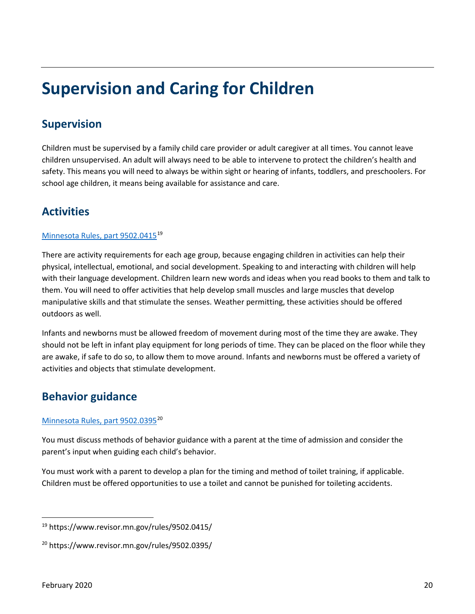# **Supervision and Caring for Children**

# **Supervision**

Children must be supervised by a family child care provider or adult caregiver at all times. You cannot leave children unsupervised. An adult will always need to be able to intervene to protect the children's health and safety. This means you will need to always be within sight or hearing of infants, toddlers, and preschoolers. For school age children, it means being available for assistance and care.

# **Activities**

### [Minnesota Rules, part 9502.041519](https://www.revisor.mn.gov/rules/9502.0415/)

There are activity requirements for each age group, because engaging children in activities can help their physical, intellectual, emotional, and social development. Speaking to and interacting with children will help with their language development. Children learn new words and ideas when you read books to them and talk to them. You will need to offer activities that help develop small muscles and large muscles that develop manipulative skills and that stimulate the senses. Weather permitting, these activities should be offered outdoors as well.

Infants and newborns must be allowed freedom of movement during most of the time they are awake. They should not be left in infant play equipment for long periods of time. They can be placed on the floor while they are awake, if safe to do so, to allow them to move around. Infants and newborns must be offered a variety of activities and objects that stimulate development.

# **Behavior guidance**

## [Minnesota Rules, part 9502.0395](https://www.revisor.mn.gov/rules/9502.0395/)<sup>[20](#page-19-1)</sup>

You must discuss methods of behavior guidance with a parent at the time of admission and consider the parent's input when guiding each child's behavior.

You must work with a parent to develop a plan for the timing and method of toilet training, if applicable. Children must be offered opportunities to use a toilet and cannot be punished for toileting accidents.

<span id="page-19-0"></span><sup>19</sup> https://www.revisor.mn.gov/rules/9502.0415/

<span id="page-19-1"></span><sup>20</sup> https://www.revisor.mn.gov/rules/9502.0395/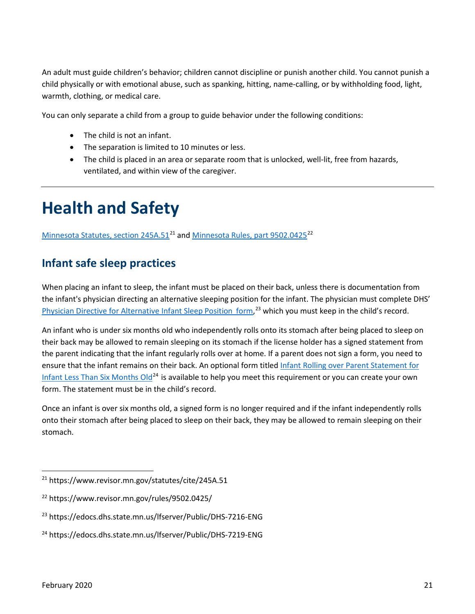An adult must guide children's behavior; children cannot discipline or punish another child. You cannot punish a child physically or with emotional abuse, such as spanking, hitting, name-calling, or by withholding food, light, warmth, clothing, or medical care.

You can only separate a child from a group to guide behavior under the following conditions:

- The child is not an infant.
- The separation is limited to 10 minutes or less.
- The child is placed in an area or separate room that is unlocked, well-lit, free from hazards, ventilated, and within view of the caregiver.

# <span id="page-20-0"></span>**Health and Safety**

[Minnesota Statutes, section 245A.51](https://www.revisor.mn.gov/statutes/cite/245A.51)<sup>[21](#page-20-1)</sup> and [Minnesota Rules, part 9502.0425](https://www.revisor.mn.gov/rules/9502.0425/)<sup>[22](#page-20-2)</sup>

## **Infant safe sleep practices**

When placing an infant to sleep, the infant must be placed on their back, unless there is documentation from the infant's physician directing an alternative sleeping position for the infant. The physician must complete DHS' [Physician Directive for Alternative Infant Sleep Position](https://edocs.dhs.state.mn.us/lfserver/Public/DHS-7216-ENG) form,<sup>[23](#page-20-3)</sup> which you must keep in the child's record.

An infant who is under six months old who independently rolls onto its stomach after being placed to sleep on their back may be allowed to remain sleeping on its stomach if the license holder has a signed statement from the parent indicating that the infant regularly rolls over at home. If a parent does not sign a form, you need to ensure that the infant remains on their back. An optional form titled [Infant Rolling over Parent Statement for](https://edocs.dhs.state.mn.us/lfserver/Public/DHS-7219-ENG)  [Infant Less Than Six Months Old](https://edocs.dhs.state.mn.us/lfserver/Public/DHS-7219-ENG)<sup>[24](#page-20-4)</sup> is available to help you meet this requirement or you can create your own form. The statement must be in the child's record.

Once an infant is over six months old, a signed form is no longer required and if the infant independently rolls onto their stomach after being placed to sleep on their back, they may be allowed to remain sleeping on their stomach.

<span id="page-20-1"></span><sup>21</sup> https://www.revisor.mn.gov/statutes/cite/245A.51

<span id="page-20-2"></span><sup>22</sup> https://www.revisor.mn.gov/rules/9502.0425/

<span id="page-20-3"></span><sup>23</sup> https://edocs.dhs.state.mn.us/lfserver/Public/DHS-7216-ENG

<span id="page-20-4"></span><sup>24</sup> https://edocs.dhs.state.mn.us/lfserver/Public/DHS-7219-ENG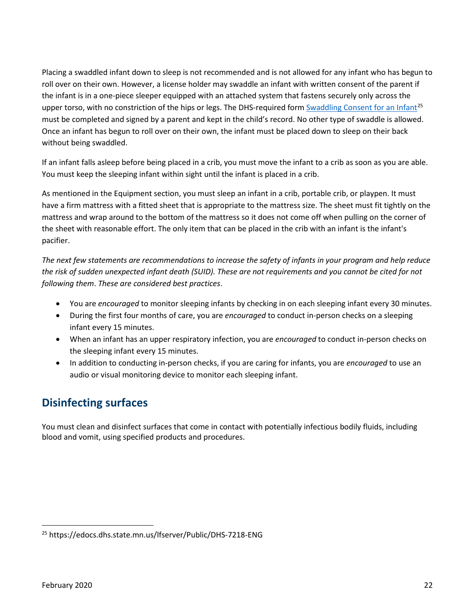Placing a swaddled infant down to sleep is not recommended and is not allowed for any infant who has begun to roll over on their own. However, a license holder may swaddle an infant with written consent of the parent if the infant is in a one-piece sleeper equipped with an attached system that fastens securely only across the upper torso, with no constriction of the hips or legs. The DHS-required form [Swaddling Consent for an Infant](https://edocs.dhs.state.mn.us/lfserver/Public/DHS-7218-ENG)<sup>[25](#page-21-0)</sup> must be completed and signed by a parent and kept in the child's record. No other type of swaddle is allowed. Once an infant has begun to roll over on their own, the infant must be placed down to sleep on their back without being swaddled.

If an infant falls asleep before being placed in a crib, you must move the infant to a crib as soon as you are able. You must keep the sleeping infant within sight until the infant is placed in a crib.

As mentioned in the Equipment section, you must sleep an infant in a crib, portable crib, or playpen. It must have a firm mattress with a fitted sheet that is appropriate to the mattress size. The sheet must fit tightly on the mattress and wrap around to the bottom of the mattress so it does not come off when pulling on the corner of the sheet with reasonable effort. The only item that can be placed in the crib with an infant is the infant's pacifier.

*The next few statements are recommendations to increase the safety of infants in your program and help reduce the risk of sudden unexpected infant death (SUID). These are not requirements and you cannot be cited for not following them*. *These are considered best practices*.

- You are *encouraged* to monitor sleeping infants by checking in on each sleeping infant every 30 minutes.
- During the first four months of care, you are *encouraged* to conduct in-person checks on a sleeping infant every 15 minutes.
- When an infant has an upper respiratory infection, you are *encouraged* to conduct in-person checks on the sleeping infant every 15 minutes.
- In addition to conducting in-person checks, if you are caring for infants, you are *encouraged* to use an audio or visual monitoring device to monitor each sleeping infant.

# **Disinfecting surfaces**

You must clean and disinfect surfaces that come in contact with potentially infectious bodily fluids, including blood and vomit, using specified products and procedures.

 $\overline{\phantom{a}}$ 

<span id="page-21-0"></span><sup>25</sup> https://edocs.dhs.state.mn.us/lfserver/Public/DHS-7218-ENG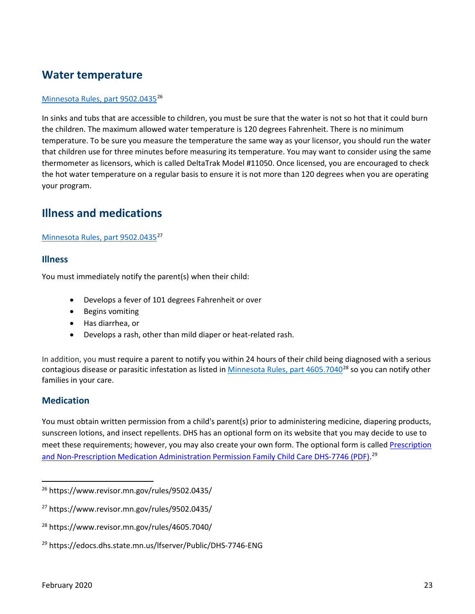## **Water temperature**

#### [Minnesota Rules, part 9502.0435](https://www.revisor.mn.gov/rules/9502.0435/)<sup>[26](#page-22-0)</sup>

In sinks and tubs that are accessible to children, you must be sure that the water is not so hot that it could burn the children. The maximum allowed water temperature is 120 degrees Fahrenheit. There is no minimum temperature. To be sure you measure the temperature the same way as your licensor, you should run the water that children use for three minutes before measuring its temperature. You may want to consider using the same thermometer as licensors, which is called DeltaTrak Model #11050. Once licensed, you are encouraged to check the hot water temperature on a regular basis to ensure it is not more than 120 degrees when you are operating your program.

## **Illness and medications**

#### [Minnesota Rules, part](https://www.revisor.mn.gov/rules/9502.0435/) 9502.0435<sup>[27](#page-22-1)</sup>

#### **Illness**

You must immediately notify the parent(s) when their child:

- Develops a fever of 101 degrees Fahrenheit or over
- Begins vomiting
- Has diarrhea, or
- Develops a rash, other than mild diaper or heat-related rash.

In addition, you must require a parent to notify you within 24 hours of their child being diagnosed with a serious contagious disease or parasitic infestation as listed i[n Minnesota Rules, part 4605.7040](https://www.revisor.mn.gov/rules/4605.7040/)<sup>[28](#page-22-2)</sup> so you can notify other families in your care.

## **Medication**

 $\overline{a}$ 

You must obtain written permission from a child's parent(s) prior to administering medicine, diapering products, sunscreen lotions, and insect repellents. DHS has an optional form on its website that you may decide to use to meet these requirements; however, you may also create your own form. The optional form is called Prescription [and Non-Prescription Medication Administration Permission Family Child Care DHS-7746 \(PDF\).](https://edocs.dhs.state.mn.us/lfserver/Public/DHS-7746-ENG)<sup>29</sup>

<span id="page-22-0"></span><sup>26</sup> https://www.revisor.mn.gov/rules/9502.0435/

<span id="page-22-1"></span><sup>27</sup> https://www.revisor.mn.gov/rules/9502.0435/

<span id="page-22-2"></span><sup>28</sup> https://www.revisor.mn.gov/rules/4605.7040/

<span id="page-22-3"></span><sup>29</sup> https://edocs.dhs.state.mn.us/lfserver/Public/DHS-7746-ENG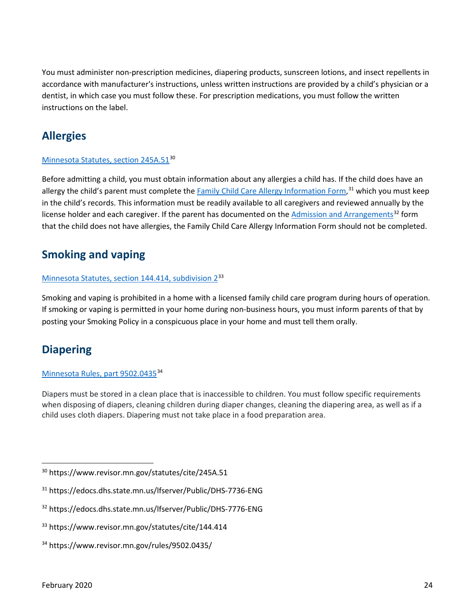You must administer non-prescription medicines, diapering products, sunscreen lotions, and insect repellents in accordance with manufacturer's instructions, unless written instructions are provided by a child's physician or a dentist, in which case you must follow these. For prescription medications, you must follow the written instructions on the label.

# **Allergies**

### [Minnesota Statutes, section 245A.51](https://www.revisor.mn.gov/statutes/cite/245A.51)<sup>[30](#page-23-0)</sup>

Before admitting a child, you must obtain information about any allergies a child has. If the child does have an allergy the child's parent must complete the [Family Child Care Allergy Information Form,](https://edocs.dhs.state.mn.us/lfserver/Public/DHS-7736-ENG)<sup>[31](#page-23-1)</sup> which you must keep in the child's records. This information must be readily available to all caregivers and reviewed annually by the license holder and each caregiver. If the parent has documented on th[e Admission and Arrangements](https://edocs.dhs.state.mn.us/lfserver/Public/DHS-7776-ENG)<sup>[32](#page-23-2)</sup> form that the child does not have allergies, the Family Child Care Allergy Information Form should not be completed.

## **Smoking and vaping**

### [Minnesota Statutes, section 144.414, subdivision 2](https://www.revisor.mn.gov/statutes/cite/144.414)<sup>[33](#page-23-3)</sup>

Smoking and vaping is prohibited in a home with a licensed family child care program during hours of operation. If smoking or vaping is permitted in your home during non-business hours, you must inform parents of that by posting your Smoking Policy in a conspicuous place in your home and must tell them orally.

## **Diapering**

 $\overline{\phantom{a}}$ 

#### [Minnesota Rules, part](https://www.revisor.mn.gov/rules/9502.0435/) 9502.0435[34](#page-23-4)

Diapers must be stored in a clean place that is inaccessible to children. You must follow specific requirements when disposing of diapers, cleaning children during diaper changes, cleaning the diapering area, as well as if a child uses cloth diapers. Diapering must not take place in a food preparation area.

<span id="page-23-0"></span><sup>30</sup> https://www.revisor.mn.gov/statutes/cite/245A.51

<span id="page-23-1"></span><sup>31</sup> https://edocs.dhs.state.mn.us/lfserver/Public/DHS-7736-ENG

<span id="page-23-2"></span><sup>32</sup> https://edocs.dhs.state.mn.us/lfserver/Public/DHS-7776-ENG

<span id="page-23-3"></span><sup>33</sup> https://www.revisor.mn.gov/statutes/cite/144.414

<span id="page-23-4"></span><sup>34</sup> https://www.revisor.mn.gov/rules/9502.0435/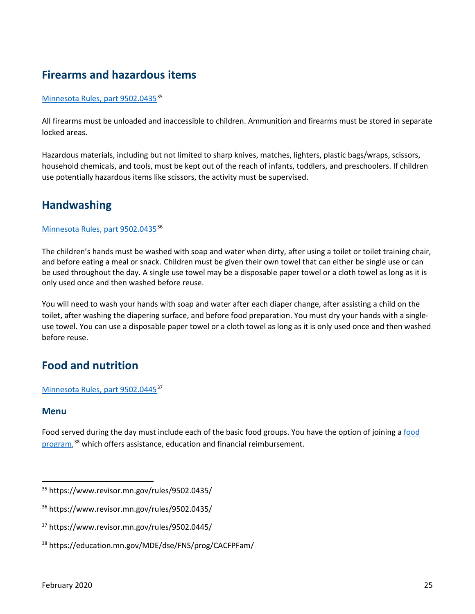# **Firearms and hazardous items**

#### [Minnesota Rules, part 9502.0435](https://www.revisor.mn.gov/rules/9502.0435/)<sup>[35](#page-24-0)</sup>

All firearms must be unloaded and inaccessible to children. Ammunition and firearms must be stored in separate locked areas.

Hazardous materials, including but not limited to sharp knives, matches, lighters, plastic bags/wraps, scissors, household chemicals, and tools, must be kept out of the reach of infants, toddlers, and preschoolers. If children use potentially hazardous items like scissors, the activity must be supervised.

## **Handwashing**

#### Minnesota Rules, part [9502.0435](https://www.revisor.mn.gov/rules/9502.0435/)<sup>[36](#page-24-1)</sup>

The children's hands must be washed with soap and water when dirty, after using a toilet or toilet training chair, and before eating a meal or snack. Children must be given their own towel that can either be single use or can be used throughout the day. A single use towel may be a disposable paper towel or a cloth towel as long as it is only used once and then washed before reuse.

You will need to wash your hands with soap and water after each diaper change, after assisting a child on the toilet, after washing the diapering surface, and before food preparation. You must dry your hands with a singleuse towel. You can use a disposable paper towel or a cloth towel as long as it is only used once and then washed before reuse.

## **Food and nutrition**

#### [Minnesota Rules, part 9502.0445](https://www.revisor.mn.gov/rules/9502.0445/)[37](#page-24-2)

#### **Menu**

 $\overline{a}$ 

Food served during the day must include each of the basic [food](https://education.mn.gov/MDE/dse/FNS/prog/CACFPFam/) groups. You have the option of joining a food [program,](https://education.mn.gov/MDE/dse/FNS/prog/CACFPFam/)<sup>[38](#page-24-3)</sup> which offers assistance, education and financial reimbursement.

<span id="page-24-0"></span><sup>35</sup> https://www.revisor.mn.gov/rules/9502.0435/

<span id="page-24-1"></span><sup>36</sup> https://www.revisor.mn.gov/rules/9502.0435/

<span id="page-24-2"></span><sup>37</sup> https://www.revisor.mn.gov/rules/9502.0445/

<span id="page-24-3"></span><sup>38</sup> https://education.mn.gov/MDE/dse/FNS/prog/CACFPFam/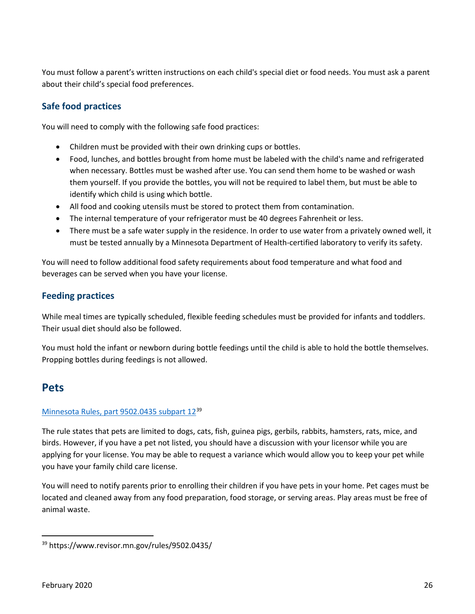You must follow a parent's written instructions on each child's special diet or food needs. You must ask a parent about their child's special food preferences.

## **Safe food practices**

You will need to comply with the following safe food practices:

- Children must be provided with their own drinking cups or bottles.
- Food, lunches, and bottles brought from home must be labeled with the child's name and refrigerated when necessary. Bottles must be washed after use. You can send them home to be washed or wash them yourself. If you provide the bottles, you will not be required to label them, but must be able to identify which child is using which bottle.
- All food and cooking utensils must be stored to protect them from contamination.
- The internal temperature of your refrigerator must be 40 degrees Fahrenheit or less.
- There must be a safe water supply in the residence. In order to use water from a privately owned well, it must be tested annually by a Minnesota Department of Health-certified laboratory to verify its safety.

You will need to follow additional food safety requirements about food temperature and what food and beverages can be served when you have your license.

## **Feeding practices**

While meal times are typically scheduled, flexible feeding schedules must be provided for infants and toddlers. Their usual diet should also be followed.

You must hold the infant or newborn during bottle feedings until the child is able to hold the bottle themselves. Propping bottles during feedings is not allowed.

## **Pets**

#### [Minnesota Rules, part 9502.0435 subpart](https://www.revisor.mn.gov/rules/9502.0435/) 12<sup>[39](#page-25-0)</sup>

The rule states that pets are limited to dogs, cats, fish, guinea pigs, gerbils, rabbits, hamsters, rats, mice, and birds. However, if you have a pet not listed, you should have a discussion with your licensor while you are applying for your license. You may be able to request a variance which would allow you to keep your pet while you have your family child care license.

You will need to notify parents prior to enrolling their children if you have pets in your home. Pet cages must be located and cleaned away from any food preparation, food storage, or serving areas. Play areas must be free of animal waste.

 $\overline{\phantom{a}}$ 

<span id="page-25-0"></span><sup>39</sup> https://www.revisor.mn.gov/rules/9502.0435/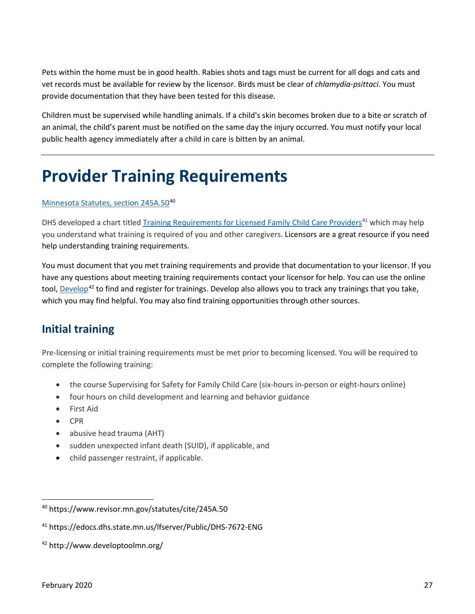Pets within the home must be in good health. Rabies shots and tags must be current for all dogs and cats and vet records must be available for review by the licensor. Birds must be clear of *chlamydia-psittaci*. You must provide documentation that they have been tested for this disease.

Children must be supervised while handling animals. If a child's skin becomes broken due to a bite or scratch of an animal, the child's parent must be notified on the same day the injury occurred. You must notify your local public health agency immediately after a child in care is bitten by an animal.

# <span id="page-26-0"></span>**Provider Training Requirements**

### [Minnesota Statutes, section](https://www.revisor.mn.gov/statutes/cite/245A.50) 245A.50<sup>[40](#page-26-1)</sup>

DHS developed a chart titled [Training Requirements for Licensed Family Child Care Providers](https://edocs.dhs.state.mn.us/lfserver/Public/DHS-7672-ENG)<sup>[41](#page-26-2)</sup> which may help you understand what training is required of you and other caregivers. Licensors are a great resource if you need help understanding training requirements.

You must document that you met training requirements and provide that documentation to your licensor. If you have any questions about meeting training requirements contact your licensor for help. You can use the online tool, [Develop](http://www.developtoolmn.org/)<sup>[42](#page-26-3)</sup> to find and register for trainings. Develop also allows you to track any trainings that you take, which you may find helpful. You may also find training opportunities through other sources.

## **Initial training**

Pre-licensing or initial training requirements must be met prior to becoming licensed. You will be required to complete the following training:

- the course Supervising for Safety for Family Child Care (six-hours in-person or eight-hours online)
- four hours on child development and learning and behavior guidance
- First Aid
- CPR
- abusive head trauma (AHT)
- sudden unexpected infant death (SUID), if applicable, and
- child passenger restraint, if applicable.

<span id="page-26-1"></span><sup>40</sup> https://www.revisor.mn.gov/statutes/cite/245A.50

<span id="page-26-2"></span><sup>41</sup> https://edocs.dhs.state.mn.us/lfserver/Public/DHS-7672-ENG

<span id="page-26-3"></span><sup>42</sup> http://www.developtoolmn.org/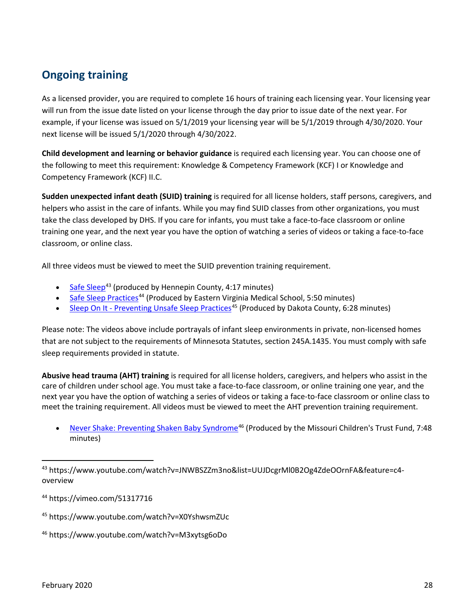# **Ongoing training**

As a licensed provider, you are required to complete 16 hours of training each licensing year. Your licensing year will run from the issue date listed on your license through the day prior to issue date of the next year. For example, if your license was issued on 5/1/2019 your licensing year will be 5/1/2019 through 4/30/2020. Your next license will be issued 5/1/2020 through 4/30/2022.

**Child development and learning or behavior guidance** is required each licensing year. You can choose one of the following to meet this requirement: Knowledge & Competency Framework (KCF) I or Knowledge and Competency Framework (KCF) II.C.

**Sudden unexpected infant death (SUID) training** is required for all license holders, staff persons, caregivers, and helpers who assist in the care of infants. While you may find SUID classes from other organizations, you must take the class developed by DHS. If you care for infants, you must take a face-to-face classroom or online training one year, and the next year you have the option of watching a series of videos or taking a face-to-face classroom, or online class.

All three videos must be viewed to meet the SUID prevention training requirement.

- [Safe Sleep](https://www.youtube.com/watch?v=JNWBSZZm3no&list=UUJDcgrMl0B2Og4ZdeOOrnFA&feature=c4-overview)<sup>[43](#page-27-0)</sup> (produced by Hennepin County, 4:17 minutes)
- **[Safe Sleep Practices](https://vimeo.com/51317716)**<sup>[44](#page-27-1)</sup> (Produced by Eastern Virginia Medical School, 5:50 minutes)
- [Sleep On It Preventing Unsafe Sleep Practices](https://www.youtube.com/watch?v=X0YshwsmZUc)<sup>[45](#page-27-2)</sup> (Produced by Dakota County, 6:28 minutes)

Please note: The videos above include portrayals of infant sleep environments in private, non-licensed homes that are not subject to the requirements of Minnesota Statutes, section 245A.1435. You must comply with safe sleep requirements provided in statute.

**Abusive head trauma (AHT) training** is required for all license holders, caregivers, and helpers who assist in the care of children under school age. You must take a face-to-face classroom, or online training one year, and the next year you have the option of watching a series of videos or taking a face-to-face classroom or online class to meet the training requirement. All videos must be viewed to meet the AHT prevention training requirement.

[Never Shake: Preventing Shaken Baby Syndrome](https://www.youtube.com/watch?v=M3xytsg6oDo)<sup>[46](#page-27-3)</sup> (Produced by the Missouri Children's Trust Fund, 7:48 minutes)

<span id="page-27-0"></span><sup>43</sup> https://www.youtube.com/watch?v=JNWBSZZm3no&list=UUJDcgrMl0B2Og4ZdeOOrnFA&feature=c4 overview

<span id="page-27-1"></span><sup>44</sup> https://vimeo.com/51317716

<span id="page-27-2"></span><sup>45</sup> https://www.youtube.com/watch?v=X0YshwsmZUc

<span id="page-27-3"></span><sup>46</sup> https://www.youtube.com/watch?v=M3xytsg6oDo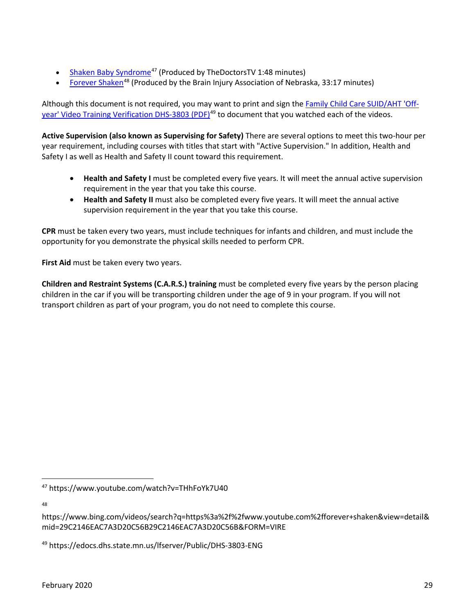- [Shaken Baby Syndrome](https://www.youtube.com/watch?v=THhFoYk7U40)<sup>[47](#page-28-1)</sup> (Produced by TheDoctorsTV 1:48 minutes)
- [Forever Shaken](https://www.bing.com/videos/search?q=https%3a%2f%2fwww.youtube.com%2fforever+shaken&view=detail&mid=29C2146EAC7A3D20C56B29C2146EAC7A3D20C56B&FORM=VIRE)[48](#page-28-2) (Produced by the Brain Injury Association of Nebraska, 33:17 minutes)

Although this document is not required, you may want to print and sign the [Family Child Care SUID/AHT 'Off](https://edocs.dhs.state.mn.us/lfserver/Public/DHS-3803-ENG)[year' Video Training Verification DHS-3803 \(PDF\)](https://edocs.dhs.state.mn.us/lfserver/Public/DHS-3803-ENG)<sup>[49](#page-28-3)</sup> to document that you watched each of the videos.

**Active Supervision (also known as Supervising for Safety)** There are several options to meet this two-hour per year requirement, including courses with titles that start with "Active Supervision." In addition, Health and Safety I as well as Health and Safety II count toward this requirement.

- **Health and Safety I** must be completed every five years. It will meet the annual active supervision requirement in the year that you take this course.
- <span id="page-28-0"></span>• **Health and Safety II** must also be completed every five years. It will meet the annual active supervision requirement in the year that you take this course.

**CPR** must be taken every two years, must include techniques for infants and children, and must include the opportunity for you demonstrate the physical skills needed to perform CPR.

**First Aid** must be taken every two years.

**Children and Restraint Systems (C.A.R.S.) training** must be completed every five years by the person placing children in the car if you will be transporting children under the age of 9 in your program. If you will not transport children as part of your program, you do not need to complete this course.

48

 $\overline{a}$ 

<span id="page-28-1"></span><sup>47</sup> https://www.youtube.com/watch?v=THhFoYk7U40

<span id="page-28-2"></span>https://www.bing.com/videos/search?q=https%3a%2f%2fwww.youtube.com%2fforever+shaken&view=detail& mid=29C2146EAC7A3D20C56B29C2146EAC7A3D20C56B&FORM=VIRE

<span id="page-28-3"></span><sup>49</sup> https://edocs.dhs.state.mn.us/lfserver/Public/DHS-3803-ENG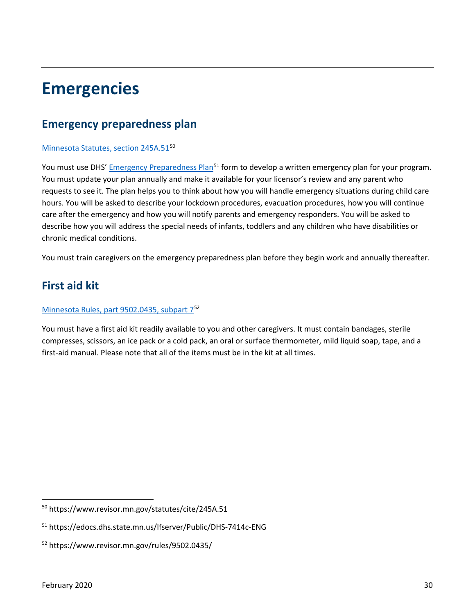# **Emergencies**

# **Emergency preparedness plan**

#### [Minnesota Statutes, section](https://www.revisor.mn.gov/statutes/cite/245A.51) 245A.51<sup>50</sup>

You must use DHS' [Emergency Preparedness Plan](https://edocs.dhs.state.mn.us/lfserver/Public/DHS-7414c-ENG)<sup>[51](#page-29-1)</sup> form to develop a written emergency plan for your program. You must update your plan annually and make it available for your licensor's review and any parent who requests to see it. The plan helps you to think about how you will handle emergency situations during child care hours. You will be asked to describe your lockdown procedures, evacuation procedures, how you will continue care after the emergency and how you will notify parents and emergency responders. You will be asked to describe how you will address the special needs of infants, toddlers and any children who have disabilities or chronic medical conditions.

You must train caregivers on the emergency preparedness plan before they begin work and annually thereafter.

## **First aid kit**

#### [Minnesota Rules, part 9502.0435, subpart 7](https://www.revisor.mn.gov/rules/9502.0435/)[52](#page-29-2)

You must have a first aid kit readily available to you and other caregivers. It must contain bandages, sterile compresses, scissors, an ice pack or a cold pack, an oral or surface thermometer, mild liquid soap, tape, and a first-aid manual. Please note that all of the items must be in the kit at all times.

<span id="page-29-0"></span><sup>50</sup> https://www.revisor.mn.gov/statutes/cite/245A.51

<span id="page-29-1"></span><sup>51</sup> https://edocs.dhs.state.mn.us/lfserver/Public/DHS-7414c-ENG

<span id="page-29-2"></span><sup>52</sup> https://www.revisor.mn.gov/rules/9502.0435/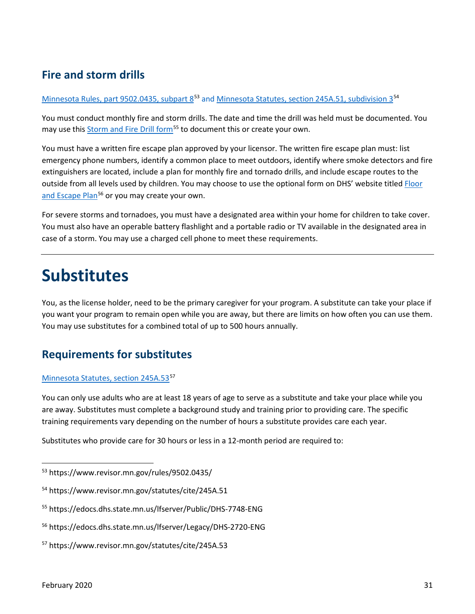# **Fire and storm drills**

Minnesota Rules, part 9502.0435, subpart 8<sup>53</sup> and [Minnesota Statutes, section 245A.51, subdivision 3](https://www.revisor.mn.gov/statutes/cite/245A.51)<sup>[54](#page-30-2)</sup>

You must conduct monthly fire and storm drills. The date and time the drill was held must be documented. You may use this [Storm and Fire Drill form](https://edocs.dhs.state.mn.us/lfserver/Public/DHS-7748-ENG)<sup>[55](#page-30-3)</sup> to document this or create your own.

You must have a written fire escape plan approved by your licensor. The written fire escape plan must: list emergency phone numbers, identify a common place to meet outdoors, identify where smoke detectors and fire extinguishers are located, include a plan for monthly fire and tornado drills, and include escape routes to the outside from all levels used by children. You may choose to use the optional form on DHS' website title[d Floor](https://edocs.dhs.state.mn.us/lfserver/Legacy/DHS-2720-ENG)  [and Escape Plan](https://edocs.dhs.state.mn.us/lfserver/Legacy/DHS-2720-ENG)<sup>[56](#page-30-4)</sup> or you may create your own.

For severe storms and tornadoes, you must have a designated area within your home for children to take cover. You must also have an operable battery flashlight and a portable radio or TV available in the designated area in case of a storm. You may use a charged cell phone to meet these requirements.

# <span id="page-30-0"></span>**Substitutes**

You, as the license holder, need to be the primary caregiver for your program. A substitute can take your place if you want your program to remain open while you are away, but there are limits on how often you can use them. You may use substitutes for a combined total of up to 500 hours annually.

# **Requirements for substitutes**

#### [Minnesota Statutes, section](https://www.revisor.mn.gov/statutes/cite/245A.53) 245A.53<sup>57</sup>

You can only use adults who are at least 18 years of age to serve as a substitute and take your place while you are away. Substitutes must complete a background study and training prior to providing care. The specific training requirements vary depending on the number of hours a substitute provides care each year.

Substitutes who provide care for 30 hours or less in a 12-month period are required to:

 $\overline{\phantom{a}}$ 

<span id="page-30-1"></span><sup>53</sup> https://www.revisor.mn.gov/rules/9502.0435/

<span id="page-30-2"></span><sup>54</sup> https://www.revisor.mn.gov/statutes/cite/245A.51

<span id="page-30-3"></span><sup>55</sup> https://edocs.dhs.state.mn.us/lfserver/Public/DHS-7748-ENG

<span id="page-30-4"></span><sup>56</sup> https://edocs.dhs.state.mn.us/lfserver/Legacy/DHS-2720-ENG

<span id="page-30-5"></span><sup>57</sup> https://www.revisor.mn.gov/statutes/cite/245A.53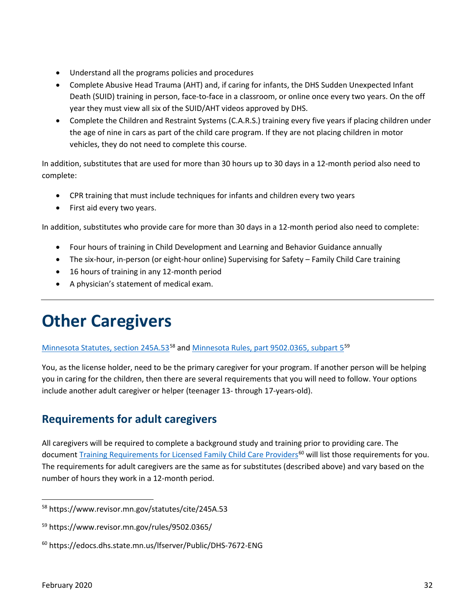- Understand all the programs policies and procedures
- Complete Abusive Head Trauma (AHT) and, if caring for infants, the DHS Sudden Unexpected Infant Death (SUID) training in person, face-to-face in a classroom, or online once every two years. On the off year they must view all six of the SUID/AHT videos approved by DHS.
- Complete the Children and Restraint Systems (C.A.R.S.) training every five years if placing children under the age of nine in cars as part of the child care program. If they are not placing children in motor vehicles, they do not need to complete this course.

In addition, substitutes that are used for more than 30 hours up to 30 days in a 12-month period also need to complete:

- CPR training that must include techniques for infants and children every two years
- First aid every two years.

In addition, substitutes who provide care for more than 30 days in a 12-month period also need to complete:

- Four hours of training in Child Development and Learning and Behavior Guidance annually
- The six-hour, in-person (or eight-hour online) Supervising for Safety Family Child Care training
- 16 hours of training in any 12-month period
- A physician's statement of medical exam.

# <span id="page-31-0"></span>**Other Caregivers**

## [Minnesota Statutes, section](https://www.revisor.mn.gov/statutes/cite/245A.53) 245A.53<sup>[58](#page-31-1)</sup> and [Minnesota Rules, part 9502.0365, subpart 5](https://www.revisor.mn.gov/rules/9502.0365/)<sup>[59](#page-31-2)</sup>

You, as the license holder, need to be the primary caregiver for your program. If another person will be helping you in caring for the children, then there are several requirements that you will need to follow. Your options include another adult caregiver or helper (teenager 13- through 17-years-old).

## **Requirements for adult caregivers**

All caregivers will be required to complete a background study and training prior to providing care. The document [Training Requirements for Licensed Family Child Care Providers](https://edocs.dhs.state.mn.us/lfserver/Public/DHS-7672-ENG)<sup>[60](#page-31-3)</sup> will list those requirements for you. The requirements for adult caregivers are the same as for substitutes (described above) and vary based on the number of hours they work in a 12-month period.

<span id="page-31-1"></span><sup>58</sup> https://www.revisor.mn.gov/statutes/cite/245A.53

<span id="page-31-2"></span><sup>59</sup> https://www.revisor.mn.gov/rules/9502.0365/

<span id="page-31-3"></span><sup>60</sup> https://edocs.dhs.state.mn.us/lfserver/Public/DHS-7672-ENG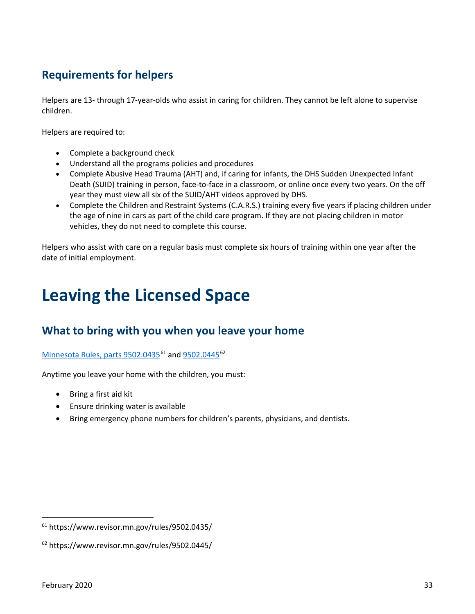# **Requirements for helpers**

Helpers are 13- through 17-year-olds who assist in caring for children. They cannot be left alone to supervise children.

Helpers are required to:

- Complete a background check
- Understand all the programs policies and procedures
- Complete Abusive Head Trauma (AHT) and, if caring for infants, the DHS Sudden Unexpected Infant Death (SUID) training in person, face-to-face in a classroom, or online once every two years. On the off year they must view all six of the SUID/AHT videos approved by DHS.
- Complete the Children and Restraint Systems (C.A.R.S.) training every five years if placing children under the age of nine in cars as part of the child care program. If they are not placing children in motor vehicles, they do not need to complete this course.

Helpers who assist with care on a regular basis must complete six hours of training within one year after the date of initial employment.

# <span id="page-32-0"></span>**Leaving the Licensed Space**

## **What to bring with you when you leave your home**

#### [Minnesota Rules, parts 9502.0435](https://www.revisor.mn.gov/rules/9502.0435/)<sup>[61](#page-32-1)</sup> and [9502.0445](https://www.revisor.mn.gov/rules/9502.0445/)<sup>[62](#page-32-2)</sup>

Anytime you leave your home with the children, you must:

- Bring a first aid kit
- Ensure drinking water is available
- Bring emergency phone numbers for children's parents, physicians, and dentists.

<span id="page-32-1"></span><sup>61</sup> https://www.revisor.mn.gov/rules/9502.0435/

<span id="page-32-2"></span><sup>62</sup> https://www.revisor.mn.gov/rules/9502.0445/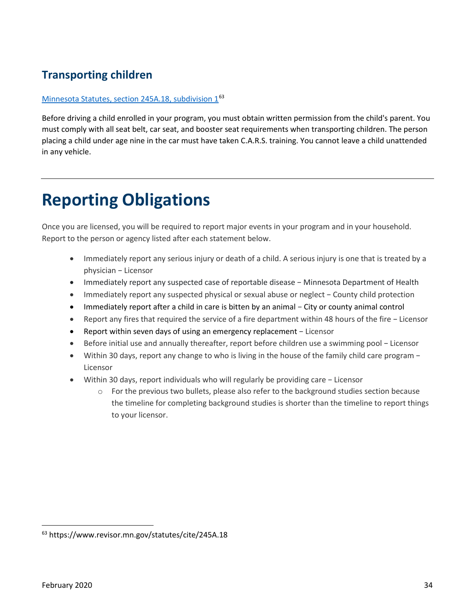# **Transporting children**

#### [Minnesota Statutes, section](https://www.revisor.mn.gov/statutes/cite/245A.18) 245A.18, subdivision 1[63](#page-33-1)

Before driving a child enrolled in your program, you must obtain written permission from the child's parent. You must comply with all seat belt, car seat, and booster seat requirements when transporting children. The person placing a child under age nine in the car must have taken C.A.R.S. training. You cannot leave a child unattended in any vehicle.

# <span id="page-33-0"></span>**Reporting Obligations**

Once you are licensed, you will be required to report major events in your program and in your household. Report to the person or agency listed after each statement below.

- Immediately report any serious injury or death of a child. A serious injury is one that is treated by a physician − Licensor
- Immediately report any suspected case of reportable disease − Minnesota Department of Health
- Immediately report any suspected physical or sexual abuse or neglect − County child protection
- Immediately report after a child in care is bitten by an animal − City or county animal control
- Report any fires that required the service of a fire department within 48 hours of the fire − Licensor
- Report within seven days of using an emergency replacement − Licensor
- Before initial use and annually thereafter, report before children use a swimming pool − Licensor
- Within 30 days, report any change to who is living in the house of the family child care program − Licensor
- Within 30 days, report individuals who will regularly be providing care − Licensor
	- $\circ$  For the previous two bullets, please also refer to the background studies section because the timeline for completing background studies is shorter than the timeline to report things to your licensor.

 $\overline{\phantom{a}}$ 

<span id="page-33-1"></span><sup>63</sup> https://www.revisor.mn.gov/statutes/cite/245A.18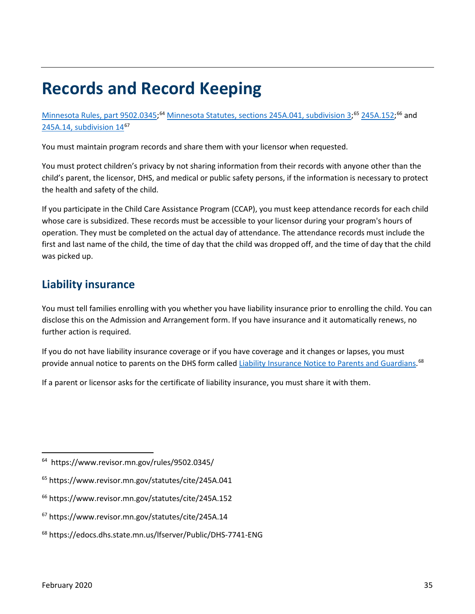# <span id="page-34-0"></span>**Records and Record Keeping**

[Minnesota Rules, part 9502.0345;](https://www.revisor.mn.gov/rules/9502.0345/)<sup>[64](#page-34-1)</sup> [Minnesota Statutes, sections 245A.041, subdivision 3;](https://www.revisor.mn.gov/statutes/cite/245A.041)<sup>[65](#page-34-2)</sup> [245A.152;](https://www.revisor.mn.gov/statutes/cite/245A.152)<sup>[66](#page-34-3)</sup> and [245A.14, subdivision 14](https://www.revisor.mn.gov/statutes/cite/245A.14)<sup>[67](#page-34-4)</sup>

You must maintain program records and share them with your licensor when requested.

You must protect children's privacy by not sharing information from their records with anyone other than the child's parent, the licensor, DHS, and medical or public safety persons, if the information is necessary to protect the health and safety of the child.

If you participate in the Child Care Assistance Program (CCAP), you must keep attendance records for each child whose care is subsidized. These records must be accessible to your licensor during your program's hours of operation. They must be completed on the actual day of attendance. The attendance records must include the first and last name of the child, the time of day that the child was dropped off, and the time of day that the child was picked up.

## **Liability insurance**

You must tell families enrolling with you whether you have liability insurance prior to enrolling the child. You can disclose this on the Admission and Arrangement form. If you have insurance and it automatically renews, no further action is required.

If you do not have liability insurance coverage or if you have coverage and it changes or lapses, you must provide annual notice to parents on the DHS form called [Liability Insurance Notice to Parents and Guardians.](https://edocs.dhs.state.mn.us/lfserver/Public/DHS-7741-ENG)<sup>[68](#page-34-5)</sup>

If a parent or licensor asks for the certificate of liability insurance, you must share it with them.

 $\overline{\phantom{a}}$ 

<span id="page-34-1"></span><sup>64</sup> https://www.revisor.mn.gov/rules/9502.0345/

<span id="page-34-2"></span><sup>65</sup> https://www.revisor.mn.gov/statutes/cite/245A.041

<span id="page-34-3"></span><sup>66</sup> https://www.revisor.mn.gov/statutes/cite/245A.152

<span id="page-34-4"></span><sup>67</sup> https://www.revisor.mn.gov/statutes/cite/245A.14

<span id="page-34-5"></span><sup>68</sup> https://edocs.dhs.state.mn.us/lfserver/Public/DHS-7741-ENG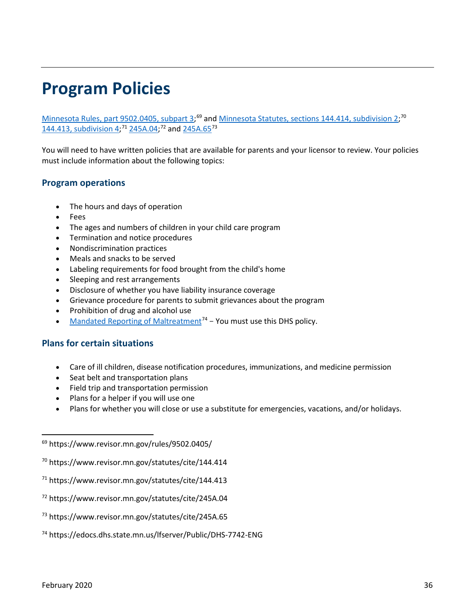# <span id="page-35-0"></span>**Program Policies**

[Minnesota Rules, part](https://www.revisor.mn.gov/rules/9502.0405/) 9502.0405, subpart 3;<sup>[69](#page-35-1)</sup> and <u>Minnesota Statutes, sections 144.414, subdivision 2</u>;<sup>[70](#page-35-2)</sup> [144.413, subdivision 4;](https://www.revisor.mn.gov/statutes/cite/144.413)<sup>[71](#page-35-3)</sup> [245A.04;](https://www.revisor.mn.gov/statutes/cite/245A.04)<sup>[72](#page-35-4)</sup> and [245A.65](https://www.revisor.mn.gov/statutes/cite/245A.65)<sup>[73](#page-35-5)</sup>

You will need to have written policies that are available for parents and your licensor to review. Your policies must include information about the following topics:

#### **Program operations**

- The hours and days of operation
- Fees
- The ages and numbers of children in your child care program
- Termination and notice procedures
- Nondiscrimination practices
- Meals and snacks to be served
- Labeling requirements for food brought from the child's home
- Sleeping and rest arrangements
- Disclosure of whether you have liability insurance coverage
- Grievance procedure for parents to submit grievances about the program
- Prohibition of drug and alcohol use
- [Mandated Reporting of Maltreatment](https://edocs.dhs.state.mn.us/lfserver/Public/DHS-7742-ENG)<sup>[74](#page-35-6)</sup> − You must use this DHS policy.

## **Plans for certain situations**

- Care of ill children, disease notification procedures, immunizations, and medicine permission
- Seat belt and transportation plans
- Field trip and transportation permission
- Plans for a helper if you will use one
- Plans for whether you will close or use a substitute for emergencies, vacations, and/or holidays.

- <span id="page-35-3"></span><sup>71</sup> https://www.revisor.mn.gov/statutes/cite/144.413
- <span id="page-35-4"></span><sup>72</sup> https://www.revisor.mn.gov/statutes/cite/245A.04
- <span id="page-35-5"></span><sup>73</sup> https://www.revisor.mn.gov/statutes/cite/245A.65
- <span id="page-35-6"></span><sup>74</sup> https://edocs.dhs.state.mn.us/lfserver/Public/DHS-7742-ENG

<span id="page-35-1"></span><sup>69</sup> https://www.revisor.mn.gov/rules/9502.0405/

<span id="page-35-2"></span><sup>70</sup> https://www.revisor.mn.gov/statutes/cite/144.414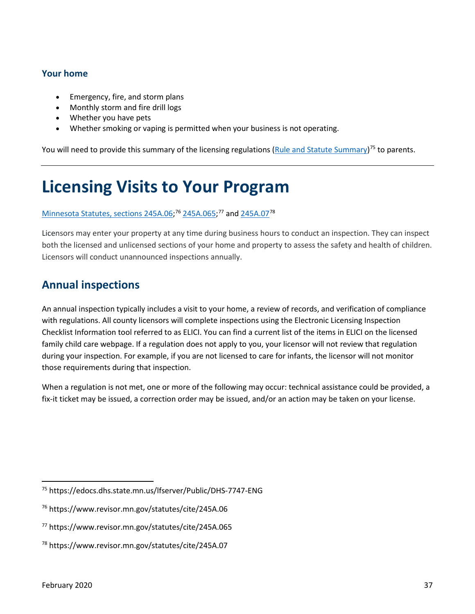## **Your home**

- Emergency, fire, and storm plans
- Monthly storm and fire drill logs
- Whether you have pets
- Whether smoking or vaping is permitted when your business is not operating.

You will need to provide this summary of the licensing regulations [\(Rule and Statute Summary\)](https://edocs.dhs.state.mn.us/lfserver/Public/DHS-7747-ENG)<sup>[75](#page-36-1)</sup> to parents.

# <span id="page-36-0"></span>**Licensing Visits to Your Program**

### [Minnesota Statutes, sections 245A.06;](https://www.revisor.mn.gov/statutes/cite/245A.06)<sup>[76](#page-36-2)</sup> [245A.065;](https://www.revisor.mn.gov/statutes/cite/245A.065)<sup>[77](#page-36-3)</sup> an[d 245A.07](https://www.revisor.mn.gov/statutes/cite/245A.07)<sup>[78](#page-36-4)</sup>

Licensors may enter your property at any time during business hours to conduct an inspection. They can inspect both the licensed and unlicensed sections of your home and property to assess the safety and health of children. Licensors will conduct unannounced inspections annually.

## **Annual inspections**

An annual inspection typically includes a visit to your home, a review of records, and verification of compliance with regulations. All county licensors will complete inspections using the Electronic Licensing Inspection Checklist Information tool referred to as ELICI. You can find a current list of the items in ELICI on the licensed family child care webpage. If a regulation does not apply to you, your licensor will not review that regulation during your inspection. For example, if you are not licensed to care for infants, the licensor will not monitor those requirements during that inspection.

When a regulation is not met, one or more of the following may occur: technical assistance could be provided, a fix-it ticket may be issued, a correction order may be issued, and/or an action may be taken on your license.

 $\overline{a}$ 

<span id="page-36-1"></span><sup>75</sup> https://edocs.dhs.state.mn.us/lfserver/Public/DHS-7747-ENG

<span id="page-36-2"></span><sup>76</sup> https://www.revisor.mn.gov/statutes/cite/245A.06

<span id="page-36-3"></span><sup>77</sup> https://www.revisor.mn.gov/statutes/cite/245A.065

<span id="page-36-4"></span><sup>78</sup> https://www.revisor.mn.gov/statutes/cite/245A.07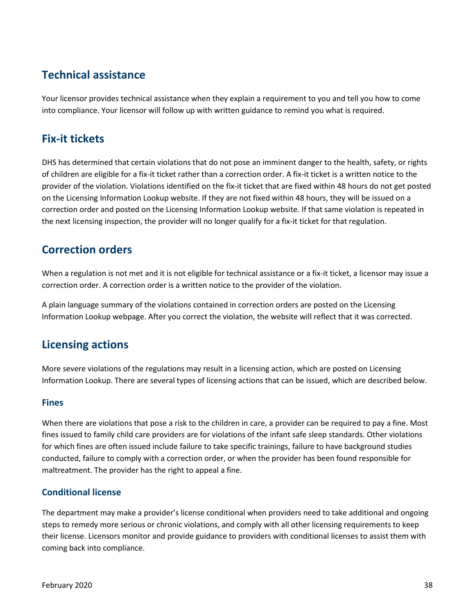## **Technical assistance**

Your licensor provides technical assistance when they explain a requirement to you and tell you how to come into compliance. Your licensor will follow up with written guidance to remind you what is required.

## **Fix-it tickets**

DHS has determined that certain violations that do not pose an imminent danger to the health, safety, or rights of children are eligible for a fix-it ticket rather than a correction order. A fix-it ticket is a written notice to the provider of the violation. Violations identified on the fix-it ticket that are fixed within 48 hours do not get posted on the Licensing Information Lookup website. If they are not fixed within 48 hours, they will be issued on a correction order and posted on the Licensing Information Lookup website. If that same violation is repeated in the next licensing inspection, the provider will no longer qualify for a fix-it ticket for that regulation.

## **Correction orders**

When a regulation is not met and it is not eligible for technical assistance or a fix-it ticket, a licensor may issue a correction order. A correction order is a written notice to the provider of the violation.

A plain language summary of the violations contained in correction orders are posted on the Licensing Information Lookup webpage. After you correct the violation, the website will reflect that it was corrected.

## **Licensing actions**

More severe violations of the regulations may result in a licensing action, which are posted on Licensing Information Lookup. There are several types of licensing actions that can be issued, which are described below.

#### **Fines**

When there are violations that pose a risk to the children in care, a provider can be required to pay a fine. Most fines issued to family child care providers are for violations of the infant safe sleep standards. Other violations for which fines are often issued include failure to take specific trainings, failure to have background studies conducted, failure to comply with a correction order, or when the provider has been found responsible for maltreatment. The provider has the right to appeal a fine.

## **Conditional license**

The department may make a provider's license conditional when providers need to take additional and ongoing steps to remedy more serious or chronic violations, and comply with all other licensing requirements to keep their license. Licensors monitor and provide guidance to providers with conditional licenses to assist them with coming back into compliance.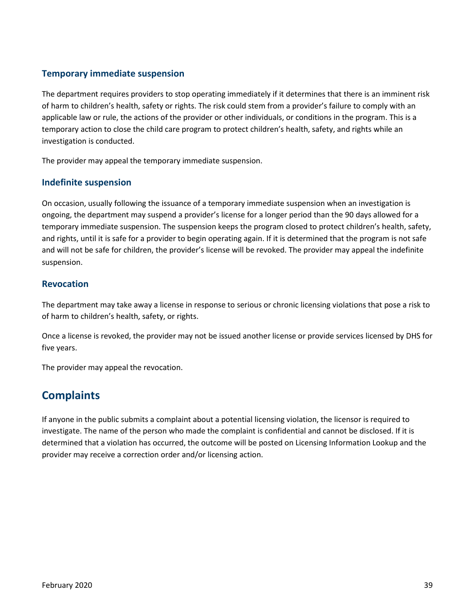## **Temporary immediate suspension**

The department requires providers to stop operating immediately if it determines that there is an imminent risk of harm to children's health, safety or rights. The risk could stem from a provider's failure to comply with an applicable law or rule, the actions of the provider or other individuals, or conditions in the program. This is a temporary action to close the child care program to protect children's health, safety, and rights while an investigation is conducted.

The provider may appeal the temporary immediate suspension.

#### **Indefinite suspension**

On occasion, usually following the issuance of a temporary immediate suspension when an investigation is ongoing, the department may suspend a provider's license for a longer period than the 90 days allowed for a temporary immediate suspension. The suspension keeps the program closed to protect children's health, safety, and rights, until it is safe for a provider to begin operating again. If it is determined that the program is not safe and will not be safe for children, the provider's license will be revoked. The provider may appeal the indefinite suspension.

### **Revocation**

The department may take away a license in response to serious or chronic licensing violations that pose a risk to of harm to children's health, safety, or rights.

Once a license is revoked, the provider may not be issued another license or provide services licensed by DHS for five years.

The provider may appeal the revocation.

# **Complaints**

If anyone in the public submits a complaint about a potential licensing violation, the licensor is required to investigate. The name of the person who made the complaint is confidential and cannot be disclosed. If it is determined that a violation has occurred, the outcome will be posted on Licensing Information Lookup and the provider may receive a correction order and/or licensing action.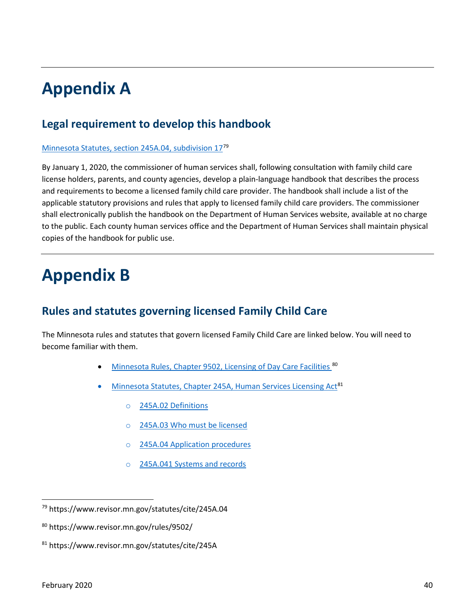# <span id="page-39-0"></span>**Appendix A**

# **Legal requirement to develop this handbook**

#### [Minnesota Statutes, section 245A.04, subdivision](https://www.revisor.mn.gov/statutes/cite/245A.04) 17[79](#page-39-2)

By January 1, 2020, the commissioner of human services shall, following consultation with family child care license holders, parents, and county agencies, develop a plain-language handbook that describes the process and requirements to become a licensed family child care provider. The handbook shall include a list of the applicable statutory provisions and rules that apply to licensed family child care providers. The commissioner shall electronically publish the handbook on the Department of Human Services website, available at no charge to the public. Each county human services office and the Department of Human Services shall maintain physical copies of the handbook for public use.

# <span id="page-39-1"></span>**Appendix B**

## **Rules and statutes governing licensed Family Child Care**

The Minnesota rules and statutes that govern licensed Family Child Care are linked below. You will need to become familiar with them.

- [Minnesota Rules, Chapter 9502, Licensing of Day Care Facilities](https://www.revisor.mn.gov/rules/9502/)<sup>[80](#page-39-3)</sup>
- [Minnesota Statutes, Chapter 245A, Human Services Licensing](https://www.revisor.mn.gov/statutes/cite/245A) Act<sup>[81](#page-39-4)</sup>
	- o [245A.02 Definitions](https://www.revisor.mn.gov/statutes/cite/245A.02)
	- o [245A.03 Who must be licensed](https://www.revisor.mn.gov/statutes/cite/245A.03)
	- o [245A.04 Application procedures](https://www.revisor.mn.gov/statutes/cite/245A.04)
	- o [245A.041 Systems and records](https://www.revisor.mn.gov/statutes/cite/245A.041)

<span id="page-39-2"></span><sup>79</sup> https://www.revisor.mn.gov/statutes/cite/245A.04

<span id="page-39-3"></span><sup>80</sup> https://www.revisor.mn.gov/rules/9502/

<span id="page-39-4"></span><sup>81</sup> https://www.revisor.mn.gov/statutes/cite/245A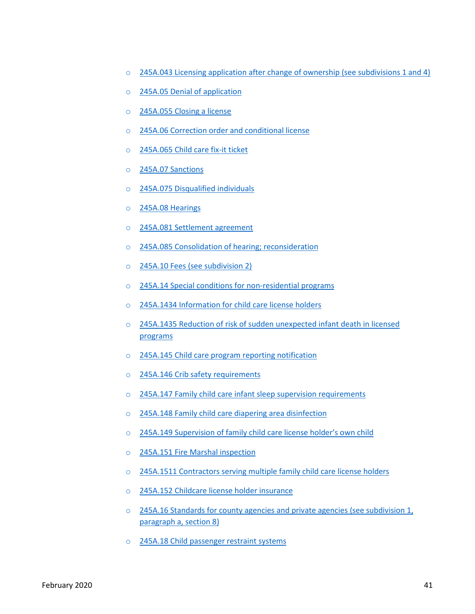- o [245A.043 Licensing application after change of ownership \(see subdivisions 1 and 4\)](https://www.revisor.mn.gov/statutes/cite/245A.043)
- o [245A.05 Denial of application](https://www.revisor.mn.gov/statutes/cite/245A.05)
- o [245A.055 Closing a license](https://www.revisor.mn.gov/statutes/cite/245A.055)
- o [245A.06 Correction order and conditional license](https://www.revisor.mn.gov/statutes/cite/245A.06)
- o [245A.065 Child care fix-it ticket](https://www.revisor.mn.gov/statutes/cite/245A.065)
- o [245A.07 Sanctions](https://www.revisor.mn.gov/statutes/cite/245A.07)
- o [245A.075 Disqualified individuals](https://www.revisor.mn.gov/statutes/cite/245A.075)
- o [245A.08 Hearings](https://www.revisor.mn.gov/statutes/cite/245A.08)
- o [245A.081 Settlement agreement](https://www.revisor.mn.gov/statutes/cite/245A.081)
- o [245A.085 Consolidation of hearing; reconsideration](https://www.revisor.mn.gov/statutes/cite/245A.085)
- o [245A.10 Fees \(see subdivision 2\)](https://www.revisor.mn.gov/statutes/cite/245A.10)
- o [245A.14 Special conditions for non-residential programs](https://www.revisor.mn.gov/statutes/cite/245A.14)
- o [245A.1434 Information for child care license holders](https://www.revisor.mn.gov/statutes/cite/245A.1434)
- o [245A.1435 Reduction of risk of sudden unexpected infant death in licensed](https://www.revisor.mn.gov/statutes/cite/245A.1435)  [programs](https://www.revisor.mn.gov/statutes/cite/245A.1435)
- o [245A.145 Child care program reporting notification](https://www.revisor.mn.gov/statutes/cite/245A.145)
- o [245A.146 Crib safety requirements](https://www.revisor.mn.gov/statutes/cite/245A.146)
- o 245A.147 Family child care [infant sleep supervision requirements](https://www.revisor.mn.gov/statutes/cite/245A.147)
- o [245A.148 Family child care diapering area disinfection](https://www.revisor.mn.gov/statutes/cite/245A.148)
- o 245A.149 Supervision of family [child care license holder's own child](https://www.revisor.mn.gov/statutes/cite/245A.149)
- o [245A.151 Fire Marshal inspection](https://www.revisor.mn.gov/statutes/cite/245A.151)
- o [245A.1511 Contractors serving multiple family child](https://www.revisor.mn.gov/statutes/cite/245A.1511) care license holders
- o [245A.152 Childcare license holder insurance](https://www.revisor.mn.gov/statutes/cite/245A.152)
- o [245A.16 Standards for county agencies and private agencies \(see subdivision 1,](https://www.revisor.mn.gov/statutes/cite/245A.16)  [paragraph a, section 8\)](https://www.revisor.mn.gov/statutes/cite/245A.16)
- o [245A.18 Child passenger restraint systems](https://www.revisor.mn.gov/statutes/cite/245A.18)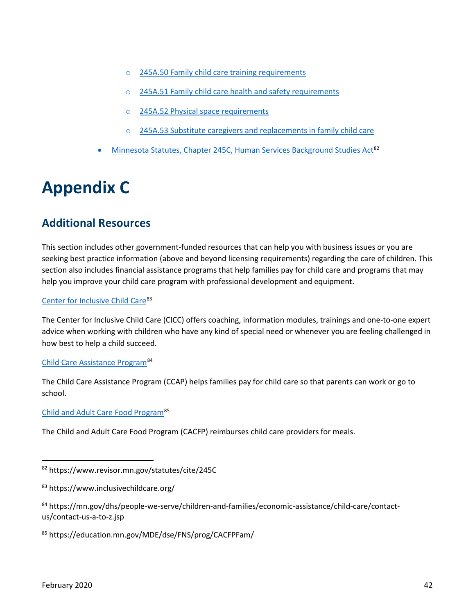- o [245A.50 Family child care training requirements](https://www.revisor.mn.gov/statutes/cite/245A.50)
- o [245A.51 Family child care health and safety requirements](https://www.revisor.mn.gov/statutes/cite/245A.51)
- o [245A.52 Physical space requirements](https://www.revisor.mn.gov/statutes/cite/245A.52)
- o [245A.53 Substitute caregivers and replacements in family child care](https://www.revisor.mn.gov/statutes/cite/245A.53)
- [Minnesota Statutes, Chapter 245C, Human Services Background Studies](https://www.revisor.mn.gov/statutes/cite/245C) Act<sup>[82](#page-41-1)</sup>

# <span id="page-41-0"></span>**Appendix C**

# **Additional Resources**

This section includes other government-funded resources that can help you with business issues or you are seeking best practice information (above and beyond licensing requirements) regarding the care of children. This section also includes financial assistance programs that help families pay for child care and programs that may help you improve your child care program with professional development and equipment.

#### [Center for Inclusive Child Care](https://www.inclusivechildcare.org/)[83](#page-41-2)

The Center for Inclusive Child Care (CICC) offers coaching, information modules, trainings and one-to-one expert advice when working with children who have any kind of special need or whenever you are feeling challenged in how best to help a child succeed.

#### [Child Care Assistance](https://mn.gov/dhs/people-we-serve/children-and-families/economic-assistance/child-care/contact-us/contact-us-a-to-z.jsp) Program[84](#page-41-3)

The Child Care Assistance Program (CCAP) helps families pay for child care so that parents can work or go to school.

[Child and Adult Care Food Program](https://education.mn.gov/MDE/dse/FNS/prog/CACFPFam/)[85](#page-41-4)

The Child and Adult Care Food Program (CACFP) reimburses child care providers for meals.

<span id="page-41-4"></span><sup>85</sup> https://education.mn.gov/MDE/dse/FNS/prog/CACFPFam/

<span id="page-41-1"></span><sup>82</sup> https://www.revisor.mn.gov/statutes/cite/245C

<span id="page-41-2"></span><sup>83</sup> https://www.inclusivechildcare.org/

<span id="page-41-3"></span><sup>84</sup> https://mn.gov/dhs/people-we-serve/children-and-families/economic-assistance/child-care/contactus/contact-us-a-to-z.jsp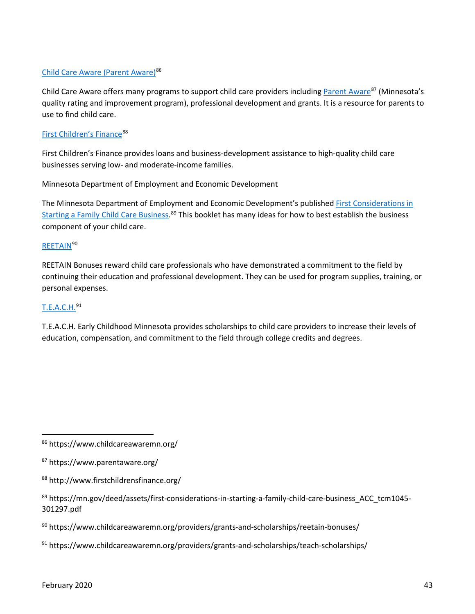#### [Child Care Aware \(Parent Aware\)](https://www.childcareawaremn.org/)<sup>[86](#page-42-0)</sup>

Child Care Aware offers many programs to support child care providers including [Parent Aware](https://parentaware.org/)<sup>87</sup> (Minnesota's quality rating and improvement program), professional development and grants. It is a resource for parents to use to find child care.

#### [First Children's Finance](http://www.firstchildrensfinance.org/)<sup>[88](#page-42-2)</sup>

First Children's Finance provides loans and business-development assistance to high-quality child care businesses serving low- and moderate-income families.

Minnesot[a Department of Employment and Economic Development](https://mn.gov/deed/about/)

The Minnesota Department of Employment and Economic Development's published First Considerations in [Starting a Family Child Care Business.](https://mn.gov/deed/assets/first-considerations-in-starting-a-family-child-care-business_ACC_tcm1045-301297.pdf)<sup>[89](#page-42-3)</sup> This booklet has many ideas for how to best establish the business component of your child care.

#### [REETAIN](https://www.childcareawaremn.org/providers/grants-and-scholarships/reetain-bonuses/)[90](#page-42-4)

REETAIN Bonuses reward child care professionals who have demonstrated a commitment to the field by continuing their education and professional development. They can be used for program supplies, training, or personal expenses.

### [T.E.A.C.H.](https://www.childcareawaremn.org/providers/grants-and-scholarships/teach-scholarships/)[91](#page-42-5)

l

T.E.A.C.H. Early Childhood Minnesota provides scholarships to child care providers to increase their levels of education, compensation, and commitment to the field through college credits and degrees.

<span id="page-42-0"></span><sup>86</sup> https://www.childcareawaremn.org/

<span id="page-42-1"></span><sup>87</sup> https://www.parentaware.org/

<span id="page-42-2"></span><sup>88</sup> http://www.firstchildrensfinance.org/

<span id="page-42-3"></span><sup>89</sup> https://mn.gov/deed/assets/first-considerations-in-starting-a-family-child-care-business\_ACC\_tcm1045-301297.pdf

<span id="page-42-4"></span><sup>90</sup> https://www.childcareawaremn.org/providers/grants-and-scholarships/reetain-bonuses/

<span id="page-42-5"></span><sup>91</sup> https://www.childcareawaremn.org/providers/grants-and-scholarships/teach-scholarships/